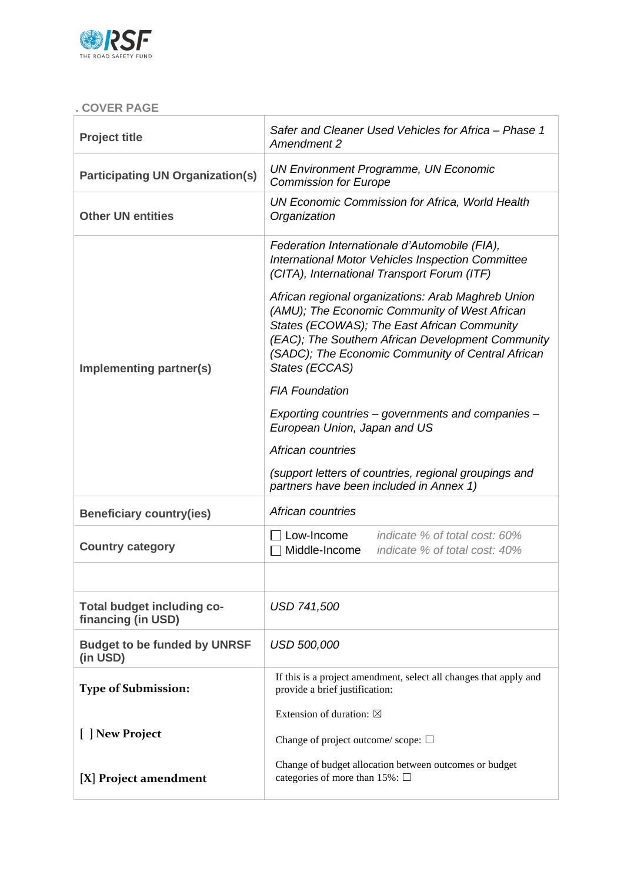

# **. COVER PAGE**

| <b>Project title</b>                                    | <b>Amendment 2</b>                                                                                                                                                                                                                                                             | Safer and Cleaner Used Vehicles for Africa - Phase 1                                    |  |  |
|---------------------------------------------------------|--------------------------------------------------------------------------------------------------------------------------------------------------------------------------------------------------------------------------------------------------------------------------------|-----------------------------------------------------------------------------------------|--|--|
| <b>Participating UN Organization(s)</b>                 | <b>UN Environment Programme, UN Economic</b><br><b>Commission for Europe</b>                                                                                                                                                                                                   |                                                                                         |  |  |
| <b>Other UN entities</b>                                | <b>UN Economic Commission for Africa, World Health</b><br>Organization                                                                                                                                                                                                         |                                                                                         |  |  |
|                                                         | Federation Internationale d'Automobile (FIA),<br>(CITA), International Transport Forum (ITF)                                                                                                                                                                                   | International Motor Vehicles Inspection Committee                                       |  |  |
| Implementing partner(s)                                 | African regional organizations: Arab Maghreb Union<br>(AMU); The Economic Community of West African<br>States (ECOWAS); The East African Community<br>(EAC); The Southern African Development Community<br>(SADC); The Economic Community of Central African<br>States (ECCAS) |                                                                                         |  |  |
|                                                         | <b>FIA Foundation</b>                                                                                                                                                                                                                                                          |                                                                                         |  |  |
|                                                         | Exporting countries - governments and companies -<br>European Union, Japan and US                                                                                                                                                                                              |                                                                                         |  |  |
|                                                         | African countries                                                                                                                                                                                                                                                              |                                                                                         |  |  |
|                                                         |                                                                                                                                                                                                                                                                                |                                                                                         |  |  |
|                                                         | partners have been included in Annex 1)                                                                                                                                                                                                                                        | (support letters of countries, regional groupings and                                   |  |  |
| <b>Beneficiary country(ies)</b>                         | African countries                                                                                                                                                                                                                                                              |                                                                                         |  |  |
| <b>Country category</b>                                 | Middle-Income                                                                                                                                                                                                                                                                  | <b>Low-Income</b> <i>indicate % of total cost: 60%</i><br>indicate % of total cost: 40% |  |  |
|                                                         |                                                                                                                                                                                                                                                                                |                                                                                         |  |  |
| <b>Total budget including co-</b><br>financing (in USD) | <b>USD 741,500</b>                                                                                                                                                                                                                                                             |                                                                                         |  |  |
| <b>Budget to be funded by UNRSF</b><br>(in USD)         | <b>USD 500,000</b>                                                                                                                                                                                                                                                             |                                                                                         |  |  |
| <b>Type of Submission:</b>                              | provide a brief justification:                                                                                                                                                                                                                                                 | If this is a project amendment, select all changes that apply and                       |  |  |
|                                                         | Extension of duration: $\boxtimes$                                                                                                                                                                                                                                             |                                                                                         |  |  |
| [ ] New Project                                         | Change of project outcome/scope: $\square$                                                                                                                                                                                                                                     | Change of budget allocation between outcomes or budget                                  |  |  |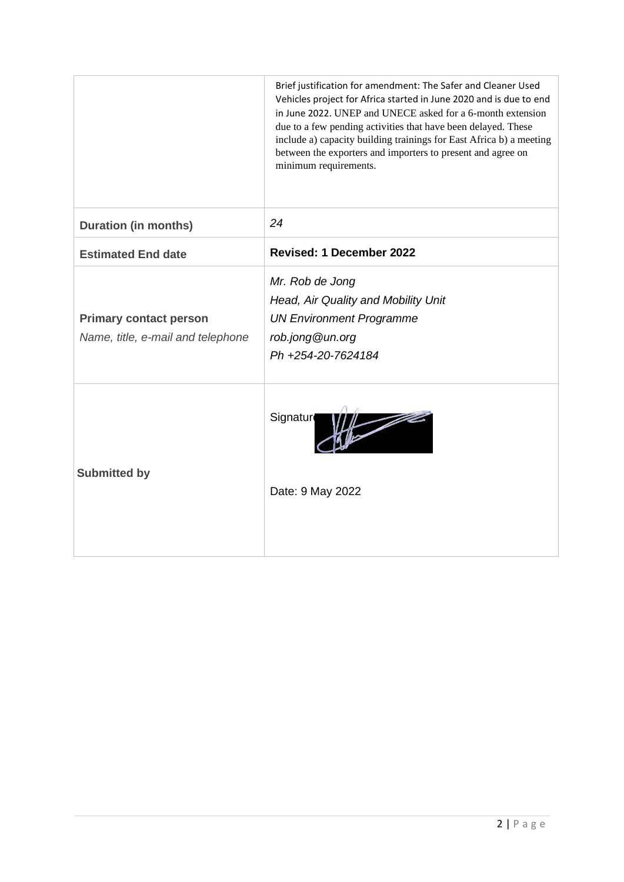|                                                                    | Brief justification for amendment: The Safer and Cleaner Used<br>Vehicles project for Africa started in June 2020 and is due to end<br>in June 2022. UNEP and UNECE asked for a 6-month extension<br>due to a few pending activities that have been delayed. These<br>include a) capacity building trainings for East Africa b) a meeting<br>between the exporters and importers to present and agree on<br>minimum requirements. |
|--------------------------------------------------------------------|-----------------------------------------------------------------------------------------------------------------------------------------------------------------------------------------------------------------------------------------------------------------------------------------------------------------------------------------------------------------------------------------------------------------------------------|
| <b>Duration (in months)</b>                                        | 24                                                                                                                                                                                                                                                                                                                                                                                                                                |
| <b>Estimated End date</b>                                          | <b>Revised: 1 December 2022</b>                                                                                                                                                                                                                                                                                                                                                                                                   |
| <b>Primary contact person</b><br>Name, title, e-mail and telephone | Mr. Rob de Jong<br>Head, Air Quality and Mobility Unit<br><b>UN Environment Programme</b><br>rob.jong@un.org<br>Ph +254-20-7624184                                                                                                                                                                                                                                                                                                |
| <b>Submitted by</b>                                                | $\frac{1}{\sqrt{2}}$<br>Signatur<br>Date: 9 May 2022                                                                                                                                                                                                                                                                                                                                                                              |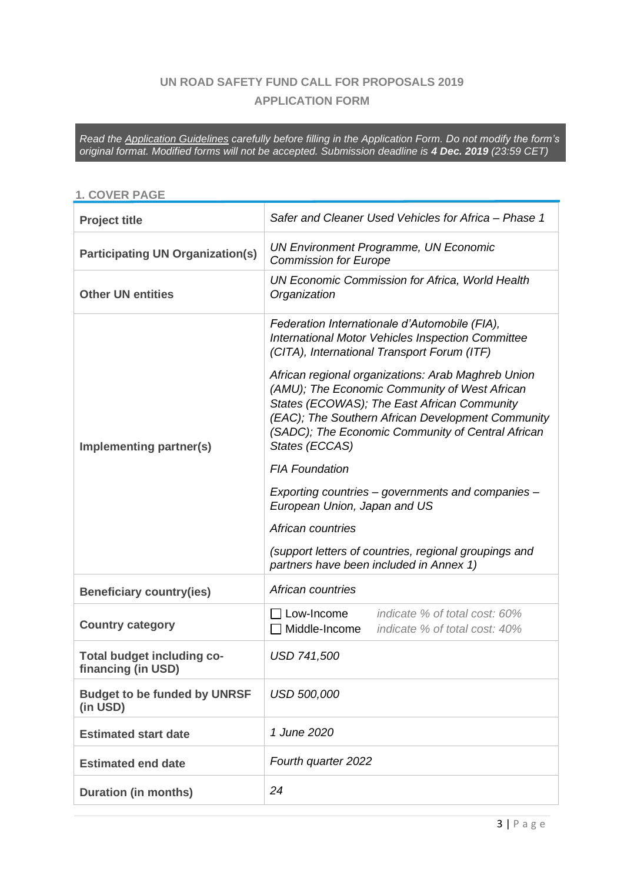# **UN ROAD SAFETY FUND CALL FOR PROPOSALS 2019 APPLICATION FORM**

*Read the Application Guidelines carefully before filling in the Application Form. Do not modify the form's original format. Modified forms will not be accepted. Submission deadline is 4 Dec. 2019 (23:59 CET)*

#### **1. COVER PAGE**

| <b>Project title</b>                                    | Safer and Cleaner Used Vehicles for Africa - Phase 1                                                                                                                                                                                                                                                                                                                                                                                                                                                                                                                                                                                                                       |  |  |  |
|---------------------------------------------------------|----------------------------------------------------------------------------------------------------------------------------------------------------------------------------------------------------------------------------------------------------------------------------------------------------------------------------------------------------------------------------------------------------------------------------------------------------------------------------------------------------------------------------------------------------------------------------------------------------------------------------------------------------------------------------|--|--|--|
| <b>Participating UN Organization(s)</b>                 | <b>UN Environment Programme, UN Economic</b><br><b>Commission for Europe</b>                                                                                                                                                                                                                                                                                                                                                                                                                                                                                                                                                                                               |  |  |  |
| <b>Other UN entities</b>                                | <b>UN Economic Commission for Africa, World Health</b><br>Organization                                                                                                                                                                                                                                                                                                                                                                                                                                                                                                                                                                                                     |  |  |  |
| Implementing partner(s)                                 | Federation Internationale d'Automobile (FIA),<br>International Motor Vehicles Inspection Committee<br>(CITA), International Transport Forum (ITF)<br>African regional organizations: Arab Maghreb Union<br>(AMU); The Economic Community of West African<br>States (ECOWAS); The East African Community<br>(EAC); The Southern African Development Community<br>(SADC); The Economic Community of Central African<br>States (ECCAS)<br><b>FIA Foundation</b><br>Exporting countries – governments and companies –<br>European Union, Japan and US<br>African countries<br>(support letters of countries, regional groupings and<br>partners have been included in Annex 1) |  |  |  |
| <b>Beneficiary country(ies)</b>                         | African countries                                                                                                                                                                                                                                                                                                                                                                                                                                                                                                                                                                                                                                                          |  |  |  |
| <b>Country category</b>                                 | Low-Income<br>indicate % of total cost: 60%<br>Middle-Income<br>indicate % of total cost: 40%                                                                                                                                                                                                                                                                                                                                                                                                                                                                                                                                                                              |  |  |  |
| <b>Total budget including co-</b><br>financing (in USD) | <b>USD 741,500</b>                                                                                                                                                                                                                                                                                                                                                                                                                                                                                                                                                                                                                                                         |  |  |  |
| <b>Budget to be funded by UNRSF</b><br>(in USD)         | <b>USD 500,000</b>                                                                                                                                                                                                                                                                                                                                                                                                                                                                                                                                                                                                                                                         |  |  |  |
| <b>Estimated start date</b>                             | 1 June 2020                                                                                                                                                                                                                                                                                                                                                                                                                                                                                                                                                                                                                                                                |  |  |  |
| <b>Estimated end date</b>                               | Fourth quarter 2022                                                                                                                                                                                                                                                                                                                                                                                                                                                                                                                                                                                                                                                        |  |  |  |
| <b>Duration (in months)</b>                             | 24                                                                                                                                                                                                                                                                                                                                                                                                                                                                                                                                                                                                                                                                         |  |  |  |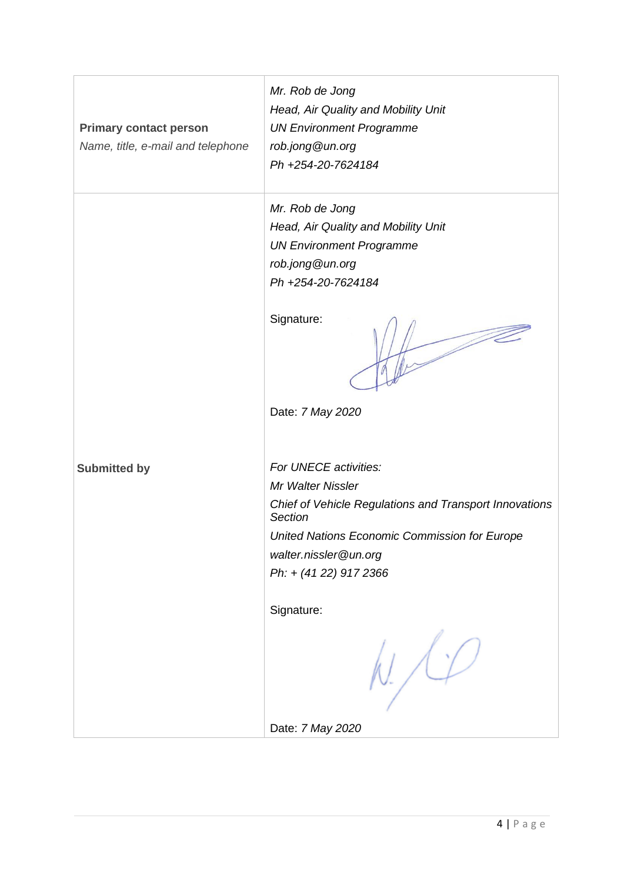|                                   | Mr. Rob de Jong                                                   |
|-----------------------------------|-------------------------------------------------------------------|
|                                   | Head, Air Quality and Mobility Unit                               |
| <b>Primary contact person</b>     | <b>UN Environment Programme</b>                                   |
| Name, title, e-mail and telephone | rob.jong@un.org                                                   |
|                                   | Ph +254-20-7624184                                                |
|                                   |                                                                   |
|                                   | Mr. Rob de Jong                                                   |
|                                   | Head, Air Quality and Mobility Unit                               |
|                                   | <b>UN Environment Programme</b>                                   |
|                                   | rob.jong@un.org                                                   |
|                                   | Ph +254-20-7624184                                                |
|                                   |                                                                   |
|                                   | Signature:                                                        |
|                                   |                                                                   |
|                                   | Date: 7 May 2020                                                  |
|                                   |                                                                   |
|                                   |                                                                   |
| <b>Submitted by</b>               | For UNECE activities:                                             |
|                                   | Mr Walter Nissler                                                 |
|                                   | Chief of Vehicle Regulations and Transport Innovations<br>Section |
|                                   | United Nations Economic Commission for Europe                     |
|                                   | walter.nissler@un.org                                             |
|                                   | Ph: + (41 22) 917 2366                                            |
|                                   |                                                                   |
|                                   | Signature:                                                        |
|                                   |                                                                   |
|                                   | Date: 7 May 2020                                                  |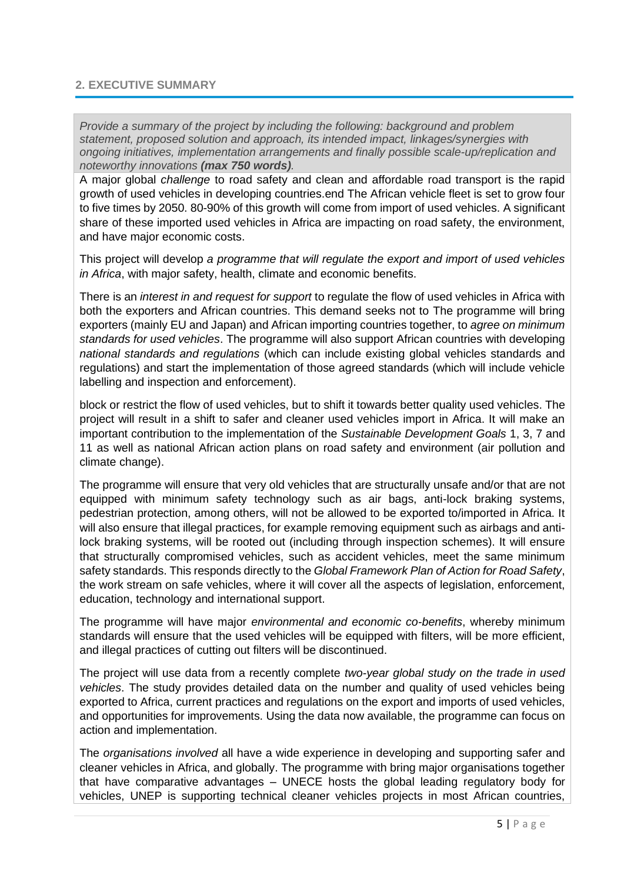#### **2. EXECUTIVE SUMMARY**

*Provide a summary of the project by including the following: background and problem statement, proposed solution and approach, its intended impact, linkages/synergies with ongoing initiatives, implementation arrangements and finally possible scale-up/replication and noteworthy innovations (max 750 words).*

A major global *challenge* to road safety and clean and affordable road transport is the rapid growth of used vehicles in developing countries.end The African vehicle fleet is set to grow four to five times by 2050. 80-90% of this growth will come from import of used vehicles. A significant share of these imported used vehicles in Africa are impacting on road safety, the environment, and have major economic costs.

This project will develop *a programme that will regulate the export and import of used vehicles in Africa*, with major safety, health, climate and economic benefits.

There is an *interest in and request for support* to regulate the flow of used vehicles in Africa with both the exporters and African countries. This demand seeks not to The programme will bring exporters (mainly EU and Japan) and African importing countries together, to *agree on minimum standards for used vehicles*. The programme will also support African countries with developing *national standards and regulations* (which can include existing global vehicles standards and regulations) and start the implementation of those agreed standards (which will include vehicle labelling and inspection and enforcement).

block or restrict the flow of used vehicles, but to shift it towards better quality used vehicles. The project will result in a shift to safer and cleaner used vehicles import in Africa. It will make an important contribution to the implementation of the *Sustainable Development Goals* 1, 3, 7 and 11 as well as national African action plans on road safety and environment (air pollution and climate change).

The programme will ensure that very old vehicles that are structurally unsafe and/or that are not equipped with minimum safety technology such as air bags, anti-lock braking systems, pedestrian protection, among others, will not be allowed to be exported to/imported in Africa. It will also ensure that illegal practices, for example removing equipment such as airbags and antilock braking systems, will be rooted out (including through inspection schemes). It will ensure that structurally compromised vehicles, such as accident vehicles, meet the same minimum safety standards. This responds directly to the *Global Framework Plan of Action for Road Safety*, the work stream on safe vehicles, where it will cover all the aspects of legislation, enforcement, education, technology and international support.

The programme will have major *environmental and economic co-benefits*, whereby minimum standards will ensure that the used vehicles will be equipped with filters, will be more efficient, and illegal practices of cutting out filters will be discontinued.

The project will use data from a recently complete *two-year global study on the trade in used vehicles*. The study provides detailed data on the number and quality of used vehicles being exported to Africa, current practices and regulations on the export and imports of used vehicles, and opportunities for improvements. Using the data now available, the programme can focus on action and implementation.

The *organisations involved* all have a wide experience in developing and supporting safer and cleaner vehicles in Africa, and globally. The programme with bring major organisations together that have comparative advantages – UNECE hosts the global leading regulatory body for vehicles, UNEP is supporting technical cleaner vehicles projects in most African countries,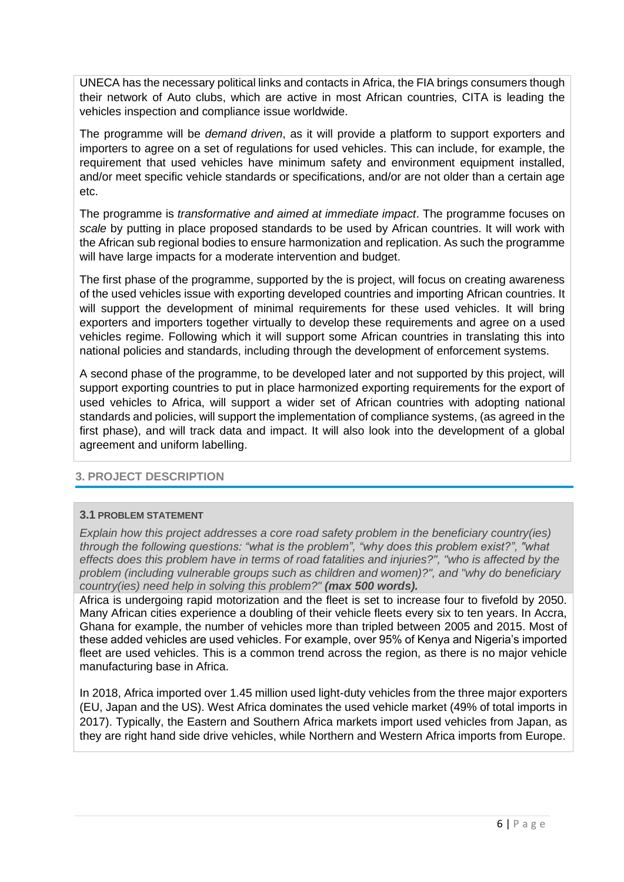UNECA has the necessary political links and contacts in Africa, the FIA brings consumers though their network of Auto clubs, which are active in most African countries, CITA is leading the vehicles inspection and compliance issue worldwide.

The programme will be *demand driven*, as it will provide a platform to support exporters and importers to agree on a set of regulations for used vehicles. This can include, for example, the requirement that used vehicles have minimum safety and environment equipment installed, and/or meet specific vehicle standards or specifications, and/or are not older than a certain age etc.

The programme is *transformative and aimed at immediate impact*. The programme focuses on *scale* by putting in place proposed standards to be used by African countries. It will work with the African sub regional bodies to ensure harmonization and replication. As such the programme will have large impacts for a moderate intervention and budget.

The first phase of the programme, supported by the is project, will focus on creating awareness of the used vehicles issue with exporting developed countries and importing African countries. It will support the development of minimal requirements for these used vehicles. It will bring exporters and importers together virtually to develop these requirements and agree on a used vehicles regime. Following which it will support some African countries in translating this into national policies and standards, including through the development of enforcement systems.

A second phase of the programme, to be developed later and not supported by this project, will support exporting countries to put in place harmonized exporting requirements for the export of used vehicles to Africa, will support a wider set of African countries with adopting national standards and policies, will support the implementation of compliance systems, (as agreed in the first phase), and will track data and impact. It will also look into the development of a global agreement and uniform labelling.

# **3. PROJECT DESCRIPTION**

#### **3.1 PROBLEM STATEMENT**

*Explain how this project addresses a core road safety problem in the beneficiary country(ies) through the following questions: "what is the problem", "why does this problem exist?", "what effects does this problem have in terms of road fatalities and injuries?", "who is affected by the problem (including vulnerable groups such as children and women)?", and "why do beneficiary country(ies) need help in solving this problem?" (max 500 words).*

Africa is undergoing rapid motorization and the fleet is set to increase four to fivefold by 2050. Many African cities experience a doubling of their vehicle fleets every six to ten years. In Accra, Ghana for example, the number of vehicles more than tripled between 2005 and 2015. Most of these added vehicles are used vehicles. For example, over 95% of Kenya and Nigeria's imported fleet are used vehicles. This is a common trend across the region, as there is no major vehicle manufacturing base in Africa.

In 2018, Africa imported over 1.45 million used light-duty vehicles from the three major exporters (EU, Japan and the US). West Africa dominates the used vehicle market (49% of total imports in 2017). Typically, the Eastern and Southern Africa markets import used vehicles from Japan, as they are right hand side drive vehicles, while Northern and Western Africa imports from Europe.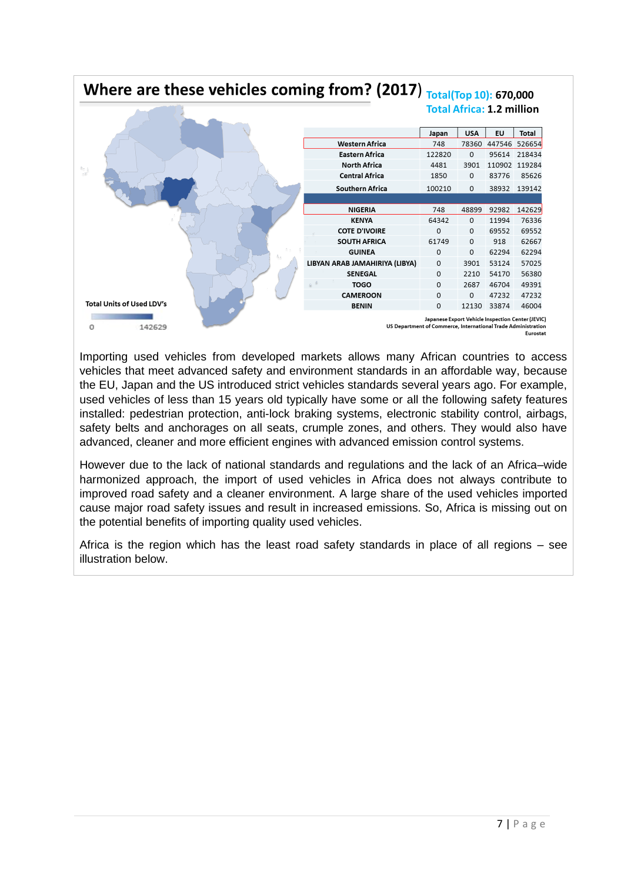# Where are these vehicles coming from? (2017)  $_{\text{Total(Top 10):}}$  670,000 **Total Africa: 1.2 million**

|                                  |                                                               | Japan                                             | <b>USA</b> | EU    | Total         |
|----------------------------------|---------------------------------------------------------------|---------------------------------------------------|------------|-------|---------------|
|                                  | <b>Western Africa</b>                                         | 748                                               | 78360      |       | 447546 526654 |
|                                  | Eastern Africa                                                | 122820                                            | 0          | 95614 | 218434        |
|                                  | <b>North Africa</b>                                           | 4481                                              | 3901       |       | 110902 119284 |
| v                                | <b>Central Africa</b>                                         | 1850                                              | 0          | 83776 | 85626         |
|                                  | <b>Southern Africa</b>                                        | 100210                                            | 0          |       | 38932 139142  |
|                                  |                                                               |                                                   |            |       |               |
|                                  | NIGERIA                                                       | 748                                               | 48899      | 92982 | 142629        |
|                                  | <b>KENYA</b>                                                  | 64342                                             | 0          | 11994 | 76336         |
|                                  | <b>COTE D'IVOIRE</b>                                          | 0                                                 | 0          | 69552 | 69552         |
|                                  | <b>SOUTH AFRICA</b>                                           | 61749                                             | 0          | 918   | 62667         |
|                                  | <b>GUINEA</b>                                                 | 0                                                 | 0          | 62294 | 62294         |
|                                  | LIBYAN ARAB JAMAHIRIYA (LIBYA)                                | 0                                                 | 3901       | 53124 | 57025         |
|                                  | <b>SENEGAL</b>                                                | 0                                                 | 2210       | 54170 | 56380         |
|                                  | <b>TOGO</b>                                                   | 0                                                 | 2687       | 46704 | 49391         |
|                                  | <b>CAMEROON</b>                                               | 0                                                 | 0          | 47232 | 47232         |
| <b>Total Units of Used LDV's</b> | <b>BENIN</b>                                                  | 0                                                 | 12130      | 33874 | 46004         |
| 142629<br>0                      | US Department of Commerce, International Trade Administration | Japanese Export Vehicle Inspection Center (JEVIC) |            |       | Eurostat      |

Importing used vehicles from developed markets allows many African countries to access vehicles that meet advanced safety and environment standards in an affordable way, because the EU, Japan and the US introduced strict vehicles standards several years ago. For example, used vehicles of less than 15 years old typically have some or all the following safety features installed: pedestrian protection, anti-lock braking systems, electronic stability control, airbags, safety belts and anchorages on all seats, crumple zones, and others. They would also have advanced, cleaner and more efficient engines with advanced emission control systems.

However due to the lack of national standards and regulations and the lack of an Africa–wide harmonized approach, the import of used vehicles in Africa does not always contribute to improved road safety and a cleaner environment. A large share of the used vehicles imported cause major road safety issues and result in increased emissions. So, Africa is missing out on the potential benefits of importing quality used vehicles.

Africa is the region which has the least road safety standards in place of all regions – see illustration below.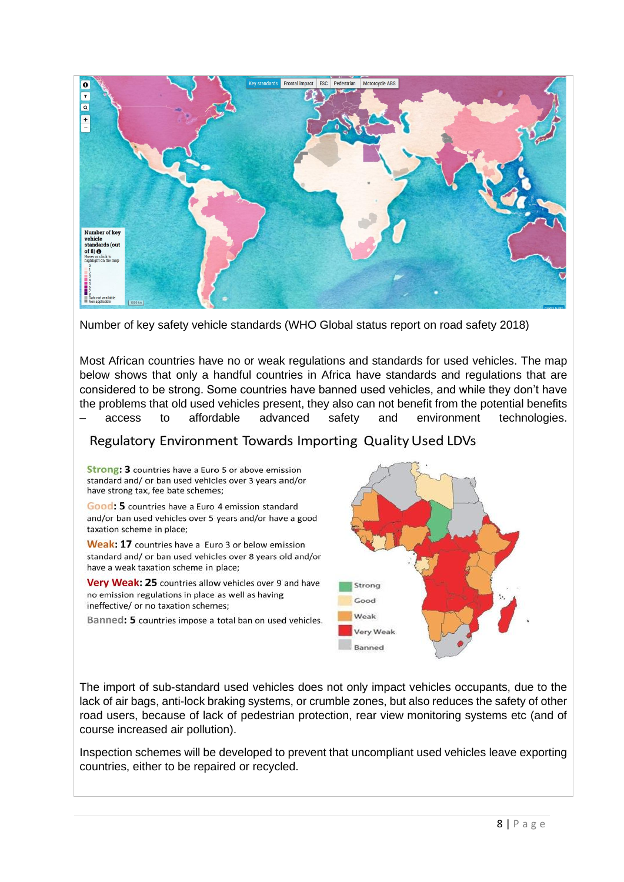

Number of key safety vehicle standards (WHO Global status report on road safety 2018)

Most African countries have no or weak regulations and standards for used vehicles. The map below shows that only a handful countries in Africa have standards and regulations that are considered to be strong. Some countries have banned used vehicles, and while they don't have the problems that old used vehicles present, they also can not benefit from the potential benefits – access to affordable advanced safety and environment technologies.

# Regulatory Environment Towards Importing Quality Used LDVs

Strong: 3 countries have a Euro 5 or above emission standard and/ or ban used vehicles over 3 years and/or have strong tax, fee bate schemes;

Good: 5 countries have a Euro 4 emission standard and/or ban used vehicles over 5 years and/or have a good taxation scheme in place;

Weak: 17 countries have a Euro 3 or below emission standard and/ or ban used vehicles over 8 years old and/or have a weak taxation scheme in place;

Very Weak: 25 countries allow vehicles over 9 and have no emission regulations in place as well as having ineffective/ or no taxation schemes:

Banned: 5 countries impose a total ban on used vehicles.



The import of sub-standard used vehicles does not only impact vehicles occupants, due to the lack of air bags, anti-lock braking systems, or crumble zones, but also reduces the safety of other road users, because of lack of pedestrian protection, rear view monitoring systems etc (and of course increased air pollution).

Inspection schemes will be developed to prevent that uncompliant used vehicles leave exporting countries, either to be repaired or recycled.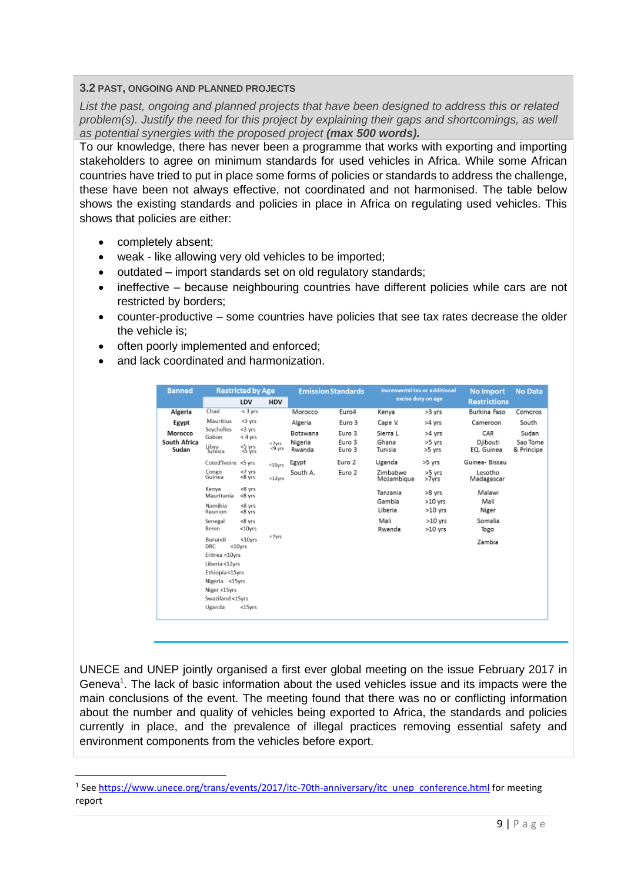#### **3.2 PAST, ONGOING AND PLANNED PROJECTS**

*List the past, ongoing and planned projects that have been designed to address this or related problem(s). Justify the need for this project by explaining their gaps and shortcomings, as well as potential synergies with the proposed project (max 500 words).*

To our knowledge, there has never been a programme that works with exporting and importing stakeholders to agree on minimum standards for used vehicles in Africa. While some African countries have tried to put in place some forms of policies or standards to address the challenge, these have been not always effective, not coordinated and not harmonised. The table below shows the existing standards and policies in place in Africa on regulating used vehicles. This shows that policies are either:

- completely absent;
- weak like allowing very old vehicles to be imported;
- outdated import standards set on old regulatory standards;
- ineffective because neighbouring countries have different policies while cars are not restricted by borders;
- counter-productive some countries have policies that see tax rates decrease the older the vehicle is;
- often poorly implemented and enforced;
- and lack coordinated and harmonization.

| <b>Banned</b>                    | <b>Restricted by Age</b>                |                                       | Incremental tax or additional<br><b>Emission Standards</b> |                               | <b>No Import</b>           | <b>No Data</b>               |                            |                               |                                 |
|----------------------------------|-----------------------------------------|---------------------------------------|------------------------------------------------------------|-------------------------------|----------------------------|------------------------------|----------------------------|-------------------------------|---------------------------------|
|                                  |                                         | LDV                                   | <b>HDV</b>                                                 |                               |                            |                              | excise duty on age         | <b>Restrictions</b>           |                                 |
| Algeria                          | Chad                                    | $<$ 3 yrs                             |                                                            | Morocco                       | Euro4                      | Kenva                        | >3 yrs                     | Burkina Faso                  | Comoros                         |
| Egypt                            | Mauritius                               | <3 yrs                                |                                                            | Algeria                       | Euro 3                     | Cape V.                      | >4 yrs                     | Cameroon                      | South                           |
| Morocco<br>South Africa<br>Sudan | Seychelles<br>Gabon<br>Libya<br>Tunisia | <3 yrs<br>$< 4$ yrs<br>S yrs<br>S yrs | <7yrs<br><9 yrs                                            | Botswana<br>Nigeria<br>Rwanda | Euro 3<br>Euro 3<br>Euro 3 | Sierra L<br>Ghana<br>Tunisia | >4 vrs<br>>5 yrs<br>>5 yrs | CAR<br>Djibouti<br>EQ. Guinea | Sudan<br>Sao Tome<br>& Principe |
|                                  | Coted'Ivoire                            | <5 vrs                                | $< 10$ vrs                                                 | Egypt                         | Euro 2                     | Uganda                       | >5 yrs                     | Guinea- Bissau                |                                 |
|                                  | Congo<br>Guinea                         | <7 yrs<br><8 ýrs                      | $<$ 12 $yrs$                                               | South A.                      | Euro 2                     | Zimbabwe<br>Mozambique       | >5 yrs<br>>7yrs            | Lesotho<br>Madagascar         |                                 |
|                                  | Kenya<br>Mauritania                     | $<8$ yrs<br><8 yrs                    |                                                            |                               |                            | Tanzania<br>Gambia           | >8 yrs                     | Malawi<br>Mali                |                                 |
|                                  | Namibia<br>Reunion                      | <8 yrs<br>$<8$ yrs                    |                                                            |                               |                            | Liberia                      | $>10$ yrs<br>$>10$ yrs     | Niger                         |                                 |
|                                  | Senegal<br>Benin                        | <8 yrs<br><10yrs                      |                                                            |                               |                            | Mali<br>Rwanda               | $>10$ yrs<br>$>10$ yrs     | Somalia<br>Togo               |                                 |
|                                  | Burundi<br>DRC<br>Eritrea <10yrs        | <10yrs<br>$<$ 10 $v$ rs               | <7yrs                                                      |                               |                            |                              |                            | Zambia                        |                                 |
|                                  | Liberia <12yrs                          |                                       |                                                            |                               |                            |                              |                            |                               |                                 |
|                                  | Ethiopia<15yrs                          |                                       |                                                            |                               |                            |                              |                            |                               |                                 |
|                                  | Nigeria <15yrs                          |                                       |                                                            |                               |                            |                              |                            |                               |                                 |
|                                  | Niger <15yrs                            |                                       |                                                            |                               |                            |                              |                            |                               |                                 |
|                                  | Swaziland <15yrs                        |                                       |                                                            |                               |                            |                              |                            |                               |                                 |
|                                  | Uganda                                  | <15yrs                                |                                                            |                               |                            |                              |                            |                               |                                 |

UNECE and UNEP jointly organised a first ever global meeting on the issue February 2017 in Geneva<sup>1</sup>. The lack of basic information about the used vehicles issue and its impacts were the main conclusions of the event. The meeting found that there was no or conflicting information about the number and quality of vehicles being exported to Africa, the standards and policies currently in place, and the prevalence of illegal practices removing essential safety and environment components from the vehicles before export.

<sup>&</sup>lt;sup>1</sup> See [https://www.unece.org/trans/events/2017/itc-70th-anniversary/itc\\_unep\\_conference.html](https://www.unece.org/trans/events/2017/itc-70th-anniversary/itc_unep_conference.html)</u> for meeting report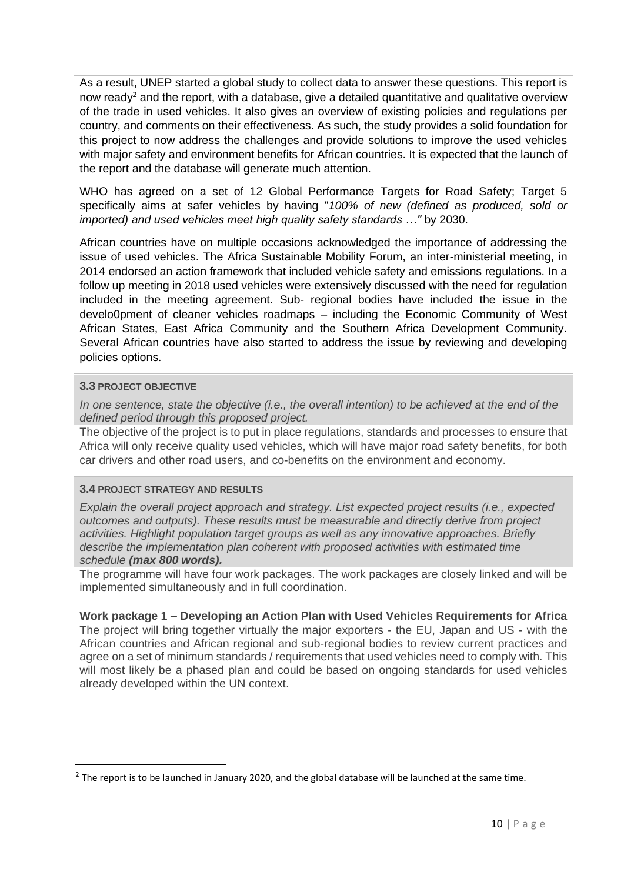As a result, UNEP started a global study to collect data to answer these questions. This report is now ready<sup>2</sup> and the report, with a database, give a detailed quantitative and qualitative overview of the trade in used vehicles. It also gives an overview of existing policies and regulations per country, and comments on their effectiveness. As such, the study provides a solid foundation for this project to now address the challenges and provide solutions to improve the used vehicles with major safety and environment benefits for African countries. It is expected that the launch of the report and the database will generate much attention.

WHO has agreed on a set of 12 Global Performance Targets for Road Safety; Target 5 specifically aims at safer vehicles by having "*100% of new (defined as produced, sold or imported) and used vehicles meet high quality safety standards …"* by 2030.

African countries have on multiple occasions acknowledged the importance of addressing the issue of used vehicles. The Africa Sustainable Mobility Forum, an inter-ministerial meeting, in 2014 endorsed an action framework that included vehicle safety and emissions regulations. In a follow up meeting in 2018 used vehicles were extensively discussed with the need for regulation included in the meeting agreement. Sub- regional bodies have included the issue in the develo0pment of cleaner vehicles roadmaps – including the Economic Community of West African States, East Africa Community and the Southern Africa Development Community. Several African countries have also started to address the issue by reviewing and developing policies options.

#### **3.3 PROJECT OBJECTIVE**

*In one sentence, state the objective (i.e., the overall intention) to be achieved at the end of the defined period through this proposed project.*

The objective of the project is to put in place regulations, standards and processes to ensure that Africa will only receive quality used vehicles, which will have major road safety benefits, for both car drivers and other road users, and co-benefits on the environment and economy.

#### **3.4 PROJECT STRATEGY AND RESULTS**

*Explain the overall project approach and strategy. List expected project results (i.e., expected outcomes and outputs). These results must be measurable and directly derive from project activities. Highlight population target groups as well as any innovative approaches. Briefly describe the implementation plan coherent with proposed activities with estimated time schedule (max 800 words).*

The programme will have four work packages. The work packages are closely linked and will be implemented simultaneously and in full coordination.

#### **Work package 1 – Developing an Action Plan with Used Vehicles Requirements for Africa**

The project will bring together virtually the major exporters - the EU, Japan and US - with the African countries and African regional and sub-regional bodies to review current practices and agree on a set of minimum standards / requirements that used vehicles need to comply with. This will most likely be a phased plan and could be based on ongoing standards for used vehicles already developed within the UN context.

 $2$  The report is to be launched in January 2020, and the global database will be launched at the same time.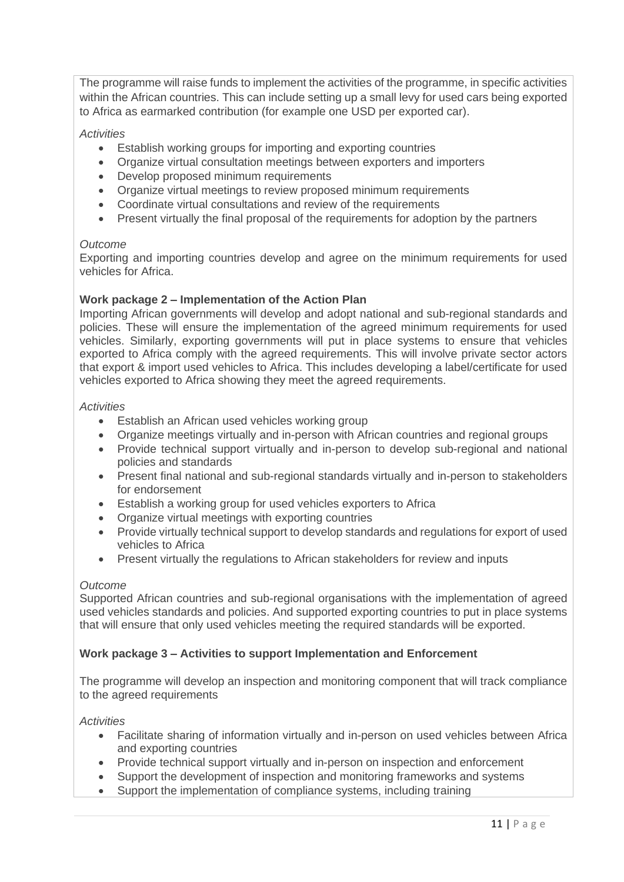The programme will raise funds to implement the activities of the programme, in specific activities within the African countries. This can include setting up a small levy for used cars being exported to Africa as earmarked contribution (for example one USD per exported car).

#### *Activities*

- Establish working groups for importing and exporting countries
- Organize virtual consultation meetings between exporters and importers
- Develop proposed minimum requirements
- Organize virtual meetings to review proposed minimum requirements
- Coordinate virtual consultations and review of the requirements
- Present virtually the final proposal of the requirements for adoption by the partners

#### *Outcome*

Exporting and importing countries develop and agree on the minimum requirements for used vehicles for Africa.

#### **Work package 2 – Implementation of the Action Plan**

Importing African governments will develop and adopt national and sub-regional standards and policies. These will ensure the implementation of the agreed minimum requirements for used vehicles. Similarly, exporting governments will put in place systems to ensure that vehicles exported to Africa comply with the agreed requirements. This will involve private sector actors that export & import used vehicles to Africa. This includes developing a label/certificate for used vehicles exported to Africa showing they meet the agreed requirements.

#### *Activities*

- Establish an African used vehicles working group
- Organize meetings virtually and in-person with African countries and regional groups
- Provide technical support virtually and in-person to develop sub-regional and national policies and standards
- Present final national and sub-regional standards virtually and in-person to stakeholders for endorsement
- Establish a working group for used vehicles exporters to Africa
- Organize virtual meetings with exporting countries
- Provide virtually technical support to develop standards and regulations for export of used vehicles to Africa
- Present virtually the regulations to African stakeholders for review and inputs

#### *Outcome*

Supported African countries and sub-regional organisations with the implementation of agreed used vehicles standards and policies. And supported exporting countries to put in place systems that will ensure that only used vehicles meeting the required standards will be exported.

#### **Work package 3 – Activities to support Implementation and Enforcement**

The programme will develop an inspection and monitoring component that will track compliance to the agreed requirements

#### *Activities*

- Facilitate sharing of information virtually and in-person on used vehicles between Africa and exporting countries
- Provide technical support virtually and in-person on inspection and enforcement
- Support the development of inspection and monitoring frameworks and systems
- Support the implementation of compliance systems, including training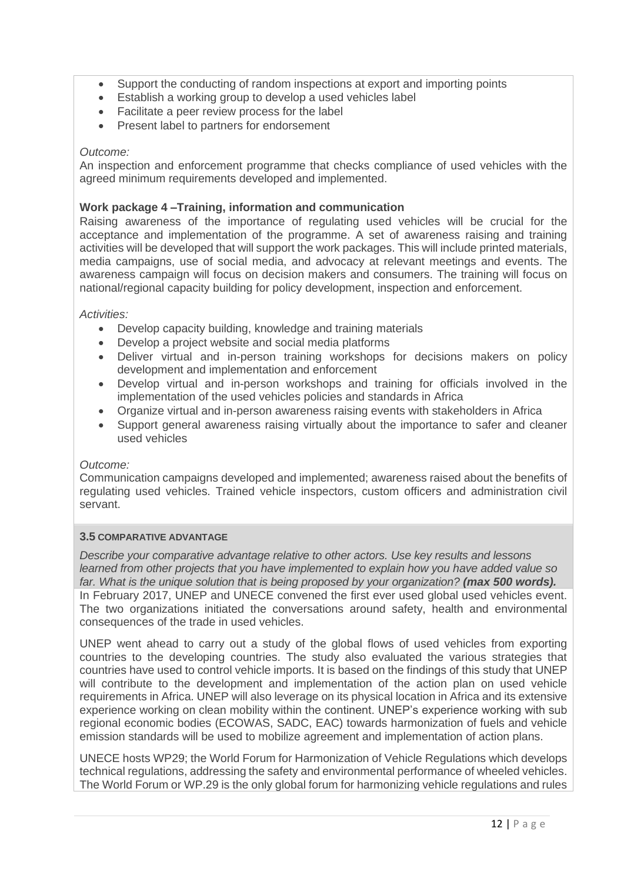- Support the conducting of random inspections at export and importing points
- Establish a working group to develop a used vehicles label
- Facilitate a peer review process for the label
- Present label to partners for endorsement

#### *Outcome:*

An inspection and enforcement programme that checks compliance of used vehicles with the agreed minimum requirements developed and implemented.

#### **Work package 4 –Training, information and communication**

Raising awareness of the importance of regulating used vehicles will be crucial for the acceptance and implementation of the programme. A set of awareness raising and training activities will be developed that will support the work packages. This will include printed materials, media campaigns, use of social media, and advocacy at relevant meetings and events. The awareness campaign will focus on decision makers and consumers. The training will focus on national/regional capacity building for policy development, inspection and enforcement.

#### *Activities:*

- Develop capacity building, knowledge and training materials
- Develop a project website and social media platforms
- Deliver virtual and in-person training workshops for decisions makers on policy development and implementation and enforcement
- Develop virtual and in-person workshops and training for officials involved in the implementation of the used vehicles policies and standards in Africa
- Organize virtual and in-person awareness raising events with stakeholders in Africa
- Support general awareness raising virtually about the importance to safer and cleaner used vehicles

#### *Outcome:*

Communication campaigns developed and implemented; awareness raised about the benefits of regulating used vehicles. Trained vehicle inspectors, custom officers and administration civil servant.

#### **3.5 COMPARATIVE ADVANTAGE**

*Describe your comparative advantage relative to other actors. Use key results and lessons learned from other projects that you have implemented to explain how you have added value so*  far. What is the unique solution that is being proposed by your organization? (max 500 words). In February 2017, UNEP and UNECE convened the first ever used global used vehicles event. The two organizations initiated the conversations around safety, health and environmental consequences of the trade in used vehicles.

UNEP went ahead to carry out a study of the global flows of used vehicles from exporting countries to the developing countries. The study also evaluated the various strategies that countries have used to control vehicle imports. It is based on the findings of this study that UNEP will contribute to the development and implementation of the action plan on used vehicle requirements in Africa. UNEP will also leverage on its physical location in Africa and its extensive experience working on clean mobility within the continent. UNEP's experience working with sub regional economic bodies (ECOWAS, SADC, EAC) towards harmonization of fuels and vehicle emission standards will be used to mobilize agreement and implementation of action plans.

UNECE hosts WP29; the World Forum for Harmonization of Vehicle Regulations which develops technical regulations, addressing the safety and environmental performance of wheeled vehicles. The World Forum or WP.29 is the only global forum for harmonizing vehicle regulations and rules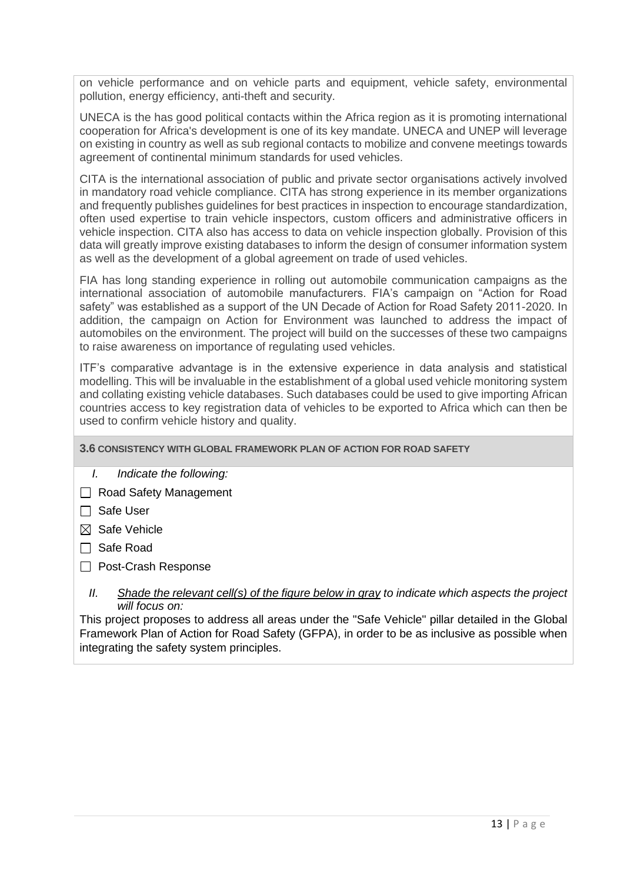on vehicle performance and on vehicle parts and equipment, vehicle safety, environmental pollution, energy efficiency, anti-theft and security.

UNECA is the has good political contacts within the Africa region as it is promoting international cooperation for Africa's development is one of its key mandate. UNECA and UNEP will leverage on existing in country as well as sub regional contacts to mobilize and convene meetings towards agreement of continental minimum standards for used vehicles.

CITA is the international association of public and private sector organisations actively involved in mandatory road vehicle compliance. CITA has strong experience in its member organizations and frequently publishes guidelines for best practices in inspection to encourage standardization, often used expertise to train vehicle inspectors, custom officers and administrative officers in vehicle inspection. CITA also has access to data on vehicle inspection globally. Provision of this data will greatly improve existing databases to inform the design of consumer information system as well as the development of a global agreement on trade of used vehicles.

FIA has long standing experience in rolling out automobile communication campaigns as the international association of automobile manufacturers. FIA's campaign on "Action for Road safety" was established as a support of the UN Decade of Action for Road Safety 2011-2020. In addition, the campaign on Action for Environment was launched to address the impact of automobiles on the environment. The project will build on the successes of these two campaigns to raise awareness on importance of regulating used vehicles.

ITF's comparative advantage is in the extensive experience in data analysis and statistical modelling. This will be invaluable in the establishment of a global used vehicle monitoring system and collating existing vehicle databases. Such databases could be used to give importing African countries access to key registration data of vehicles to be exported to Africa which can then be used to confirm vehicle history and quality.

#### **3.6 CONSISTENCY WITH GLOBAL FRAMEWORK PLAN OF ACTION FOR ROAD SAFETY**

- *I. Indicate the following:*
- Road Safety Management
- $\Box$  Safe User
- $\boxtimes$  Safe Vehicle
- Safe Road
- □ Post-Crash Response
	- *II. Shade the relevant cell(s) of the figure below in gray to indicate which aspects the project will focus on:*

This project proposes to address all areas under the "Safe Vehicle" pillar detailed in the Global Framework Plan of Action for Road Safety (GFPA), in order to be as inclusive as possible when integrating the safety system principles.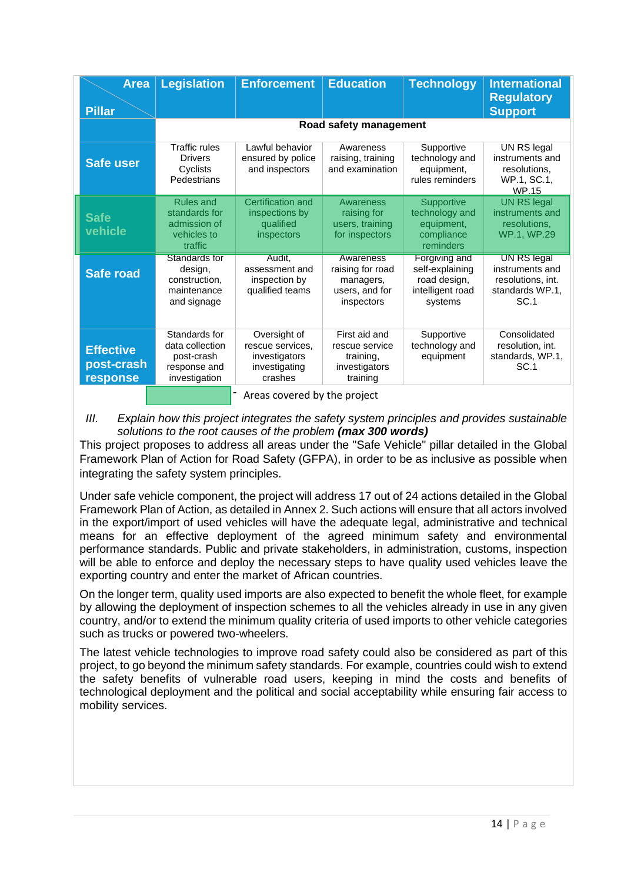| <b>Area</b><br><b>Pillar</b>               | <b>Legislation</b>                                                              | <b>Enforcement</b>                                                            | <b>Education</b>                                                           | <b>Technology</b>                                                               | <b>International</b><br><b>Regulatory</b><br><b>Support</b>                    |
|--------------------------------------------|---------------------------------------------------------------------------------|-------------------------------------------------------------------------------|----------------------------------------------------------------------------|---------------------------------------------------------------------------------|--------------------------------------------------------------------------------|
|                                            |                                                                                 |                                                                               | Road safety management                                                     |                                                                                 |                                                                                |
| <b>Safe user</b>                           | <b>Traffic rules</b><br><b>Drivers</b><br>Cyclists<br>Pedestrians               | Lawful behavior<br>ensured by police<br>and inspectors                        | Awareness<br>raising, training<br>and examination                          | Supportive<br>technology and<br>equipment,<br>rules reminders                   | UN RS legal<br>instruments and<br>resolutions.<br>WP.1, SC.1,<br><b>WP.15</b>  |
| <b>Safe</b><br>vehicle                     | <b>Rules and</b><br>standards for<br>admission of<br>vehicles to<br>traffic     | Certification and<br>inspections by<br>qualified<br>inspectors                | Awareness<br>raising for<br>users, training<br>for inspectors              | Supportive<br>technology and<br>equipment,<br>compliance<br>reminders           | <b>UN RS legal</b><br>instruments and<br>resolutions.<br>WP.1, WP.29           |
| <b>Safe road</b>                           | Standards for<br>design,<br>construction.<br>maintenance<br>and signage         | Audit.<br>assessment and<br>inspection by<br>qualified teams                  | Awareness<br>raising for road<br>managers,<br>users, and for<br>inspectors | Forgiving and<br>self-explaining<br>road design,<br>intelligent road<br>systems | UN RS legal<br>instruments and<br>resolutions, int.<br>standards WP.1,<br>SC.1 |
| <b>Effective</b><br>post-crash<br>response | Standards for<br>data collection<br>post-crash<br>response and<br>investigation | Oversight of<br>rescue services.<br>investigators<br>investigating<br>crashes | First aid and<br>rescue service<br>training,<br>investigators<br>training  | Supportive<br>technology and<br>equipment                                       | Consolidated<br>resolution, int.<br>standards, WP.1,<br>SC.1                   |
|                                            |                                                                                 | Areas covered by the project                                                  |                                                                            |                                                                                 |                                                                                |

Areas covered by the project

*III.* Explain how this project integrates the safety system principles and provides sustainable *solutions to the root causes of the problem (max 300 words)*

This project proposes to address all areas under the "Safe Vehicle" pillar detailed in the Global Framework Plan of Action for Road Safety (GFPA), in order to be as inclusive as possible when integrating the safety system principles.

Under safe vehicle component, the project will address 17 out of 24 actions detailed in the Global Framework Plan of Action, as detailed in Annex 2. Such actions will ensure that all actors involved in the export/import of used vehicles will have the adequate legal, administrative and technical means for an effective deployment of the agreed minimum safety and environmental performance standards. Public and private stakeholders, in administration, customs, inspection will be able to enforce and deploy the necessary steps to have quality used vehicles leave the exporting country and enter the market of African countries.

On the longer term, quality used imports are also expected to benefit the whole fleet, for example by allowing the deployment of inspection schemes to all the vehicles already in use in any given country, and/or to extend the minimum quality criteria of used imports to other vehicle categories such as trucks or powered two-wheelers.

The latest vehicle technologies to improve road safety could also be considered as part of this project, to go beyond the minimum safety standards. For example, countries could wish to extend the safety benefits of vulnerable road users, keeping in mind the costs and benefits of technological deployment and the political and social acceptability while ensuring fair access to mobility services.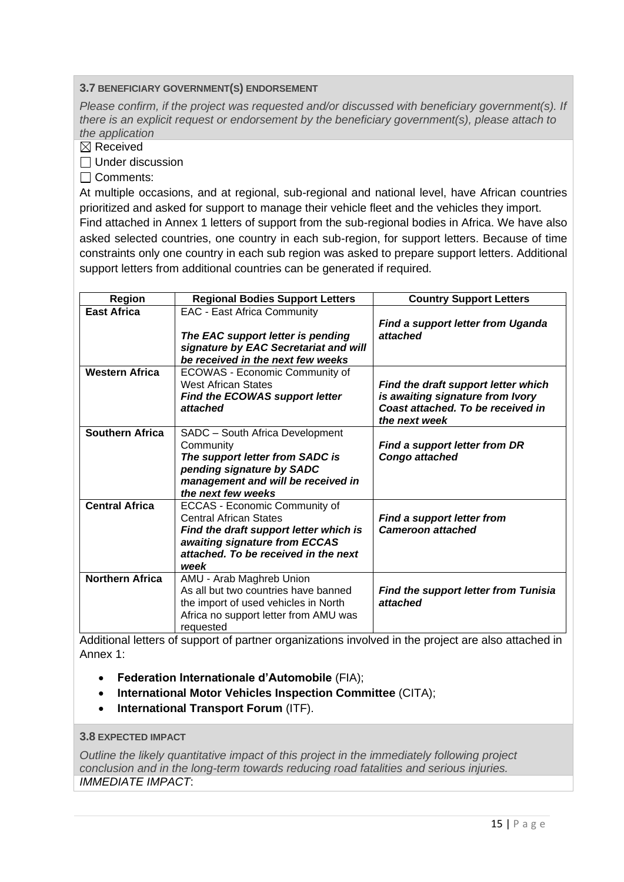#### **3.7 BENEFICIARY GOVERNMENT(S) ENDORSEMENT**

*Please confirm, if the project was requested and/or discussed with beneficiary government(s). If there is an explicit request or endorsement by the beneficiary government(s), please attach to the application*

 $\boxtimes$  Received

 $\Box$  Under discussion

□ Comments:

At multiple occasions, and at regional, sub-regional and national level, have African countries prioritized and asked for support to manage their vehicle fleet and the vehicles they import. Find attached in Annex 1 letters of support from the sub-regional bodies in Africa. We have also

asked selected countries, one country in each sub-region, for support letters. Because of time constraints only one country in each sub region was asked to prepare support letters. Additional support letters from additional countries can be generated if required*.*

| <b>Region</b>                                                                                              | <b>Regional Bodies Support Letters</b>                                                                                                                                                    | <b>Country Support Letters</b>                                                                                                                                                                                                                                                                |
|------------------------------------------------------------------------------------------------------------|-------------------------------------------------------------------------------------------------------------------------------------------------------------------------------------------|-----------------------------------------------------------------------------------------------------------------------------------------------------------------------------------------------------------------------------------------------------------------------------------------------|
| <b>East Africa</b>                                                                                         | <b>EAC - East Africa Community</b><br>The EAC support letter is pending<br>signature by EAC Secretariat and will<br>be received in the next few weeks                                     | <b>Find a support letter from Uganda</b><br>attached                                                                                                                                                                                                                                          |
| <b>Western Africa</b>                                                                                      | ECOWAS - Economic Community of<br><b>West African States</b><br><b>Find the ECOWAS support letter</b><br>attached                                                                         | Find the draft support letter which<br>is awaiting signature from Ivory<br>Coast attached. To be received in<br>the next week                                                                                                                                                                 |
| <b>Southern Africa</b>                                                                                     | SADC - South Africa Development<br>Community<br>The support letter from SADC is<br>pending signature by SADC<br>management and will be received in<br>the next few weeks                  | <b>Find a support letter from DR</b><br>Congo attached                                                                                                                                                                                                                                        |
| <b>Central Africa</b>                                                                                      | ECCAS - Economic Community of<br><b>Central African States</b><br>Find the draft support letter which is<br>awaiting signature from ECCAS<br>attached. To be received in the next<br>week | <b>Find a support letter from</b><br><b>Cameroon attached</b>                                                                                                                                                                                                                                 |
| <b>Northern Africa</b><br>$\mathbf{A}$ and $\mathbf{B}$ and $\mathbf{A}$ and $\mathbf{A}$ and $\mathbf{A}$ | AMU - Arab Maghreb Union<br>As all but two countries have banned<br>the import of used vehicles in North<br>Africa no support letter from AMU was<br>requested                            | <b>Find the support letter from Tunisia</b><br>attached<br>$\epsilon$ and the state of the state of the state of the state of the state of the state of the state of the state of the state of the state of the state of the state of the state of the state of the state of the state of the |

Additional letters of support of partner organizations involved in the project are also attached in Annex 1:

- **Federation Internationale d'Automobile** (FIA);
- **International Motor Vehicles Inspection Committee** (CITA);
- **International Transport Forum** (ITF).

#### **3.8 EXPECTED IMPACT**

*Outline the likely quantitative impact of this project in the immediately following project conclusion and in the long-term towards reducing road fatalities and serious injuries. IMMEDIATE IMPACT*: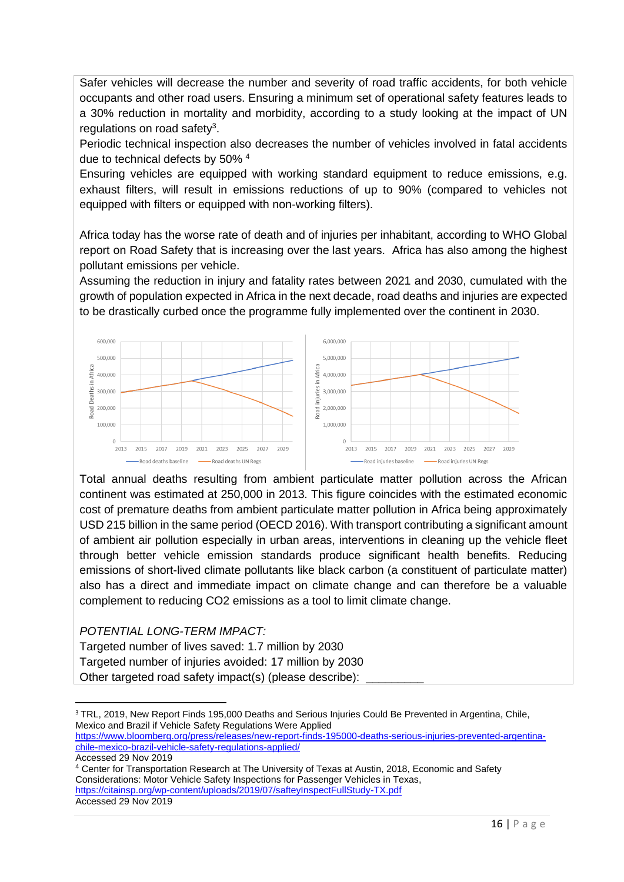Safer vehicles will decrease the number and severity of road traffic accidents, for both vehicle occupants and other road users. Ensuring a minimum set of operational safety features leads to a 30% reduction in mortality and morbidity, according to a study looking at the impact of UN regulations on road safety<sup>3</sup>.

Periodic technical inspection also decreases the number of vehicles involved in fatal accidents due to technical defects by 50% <sup>4</sup>

Ensuring vehicles are equipped with working standard equipment to reduce emissions, e.g. exhaust filters, will result in emissions reductions of up to 90% (compared to vehicles not equipped with filters or equipped with non-working filters).

Africa today has the worse rate of death and of injuries per inhabitant, according to WHO Global report on Road Safety that is increasing over the last years. Africa has also among the highest pollutant emissions per vehicle.

Assuming the reduction in injury and fatality rates between 2021 and 2030, cumulated with the growth of population expected in Africa in the next decade, road deaths and injuries are expected to be drastically curbed once the programme fully implemented over the continent in 2030.



Total annual deaths resulting from ambient particulate matter pollution across the African continent was estimated at 250,000 in 2013. This figure coincides with the estimated economic cost of premature deaths from ambient particulate matter pollution in Africa being approximately USD 215 billion in the same period (OECD 2016). With transport contributing a significant amount of ambient air pollution especially in urban areas, interventions in cleaning up the vehicle fleet through better vehicle emission standards produce significant health benefits. Reducing emissions of short-lived climate pollutants like black carbon (a constituent of particulate matter) also has a direct and immediate impact on climate change and can therefore be a valuable complement to reducing CO2 emissions as a tool to limit climate change.

*POTENTIAL LONG-TERM IMPACT:*

- Targeted number of lives saved: 1.7 million by 2030
- Targeted number of injuries avoided: 17 million by 2030
- Other targeted road safety impact(s) (please describe):

<sup>3</sup> TRL, 2019, New Report Finds 195,000 Deaths and Serious Injuries Could Be Prevented in Argentina, Chile, Mexico and Brazil if Vehicle Safety Regulations Were Applied [https://www.bloomberg.org/press/releases/new-report-finds-195000-deaths-serious-injuries-prevented-argentina-](https://www.bloomberg.org/press/releases/new-report-finds-195000-deaths-serious-injuries-prevented-argentina-chile-mexico-brazil-vehicle-safety-regulations-applied/)

[chile-mexico-brazil-vehicle-safety-regulations-applied/](https://www.bloomberg.org/press/releases/new-report-finds-195000-deaths-serious-injuries-prevented-argentina-chile-mexico-brazil-vehicle-safety-regulations-applied/) Accessed 29 Nov 2019

<sup>4</sup> Center for Transportation Research at The University of Texas at Austin, 2018, Economic and Safety Considerations: Motor Vehicle Safety Inspections for Passenger Vehicles in Texas, <https://citainsp.org/wp-content/uploads/2019/07/safteyInspectFullStudy-TX.pdf>

Accessed 29 Nov 2019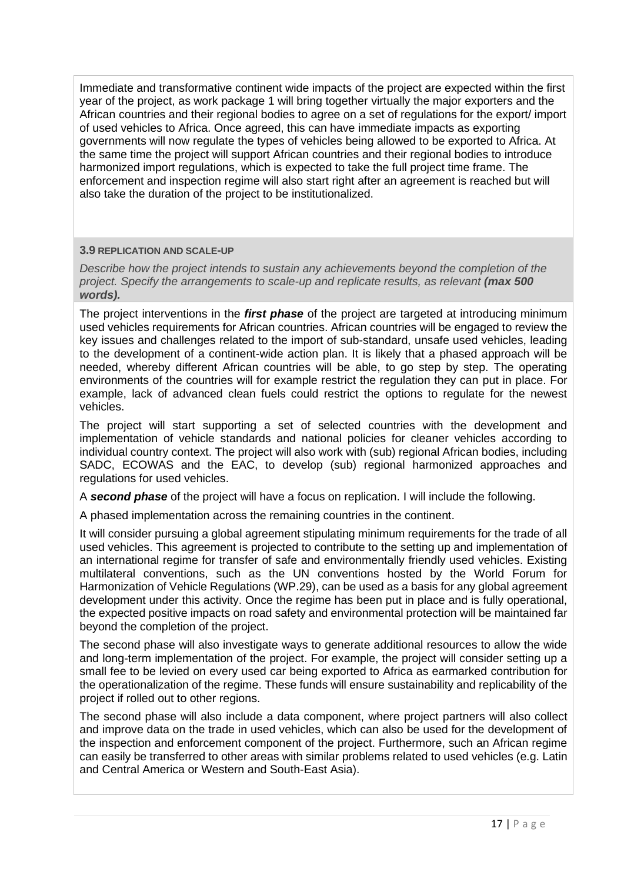Immediate and transformative continent wide impacts of the project are expected within the first year of the project, as work package 1 will bring together virtually the major exporters and the African countries and their regional bodies to agree on a set of regulations for the export/ import of used vehicles to Africa. Once agreed, this can have immediate impacts as exporting governments will now regulate the types of vehicles being allowed to be exported to Africa. At the same time the project will support African countries and their regional bodies to introduce harmonized import regulations, which is expected to take the full project time frame. The enforcement and inspection regime will also start right after an agreement is reached but will also take the duration of the project to be institutionalized.

#### **3.9 REPLICATION AND SCALE-UP**

*Describe how the project intends to sustain any achievements beyond the completion of the project. Specify the arrangements to scale-up and replicate results, as relevant (max 500 words).*

The project interventions in the *first phase* of the project are targeted at introducing minimum used vehicles requirements for African countries. African countries will be engaged to review the key issues and challenges related to the import of sub-standard, unsafe used vehicles, leading to the development of a continent-wide action plan. It is likely that a phased approach will be needed, whereby different African countries will be able, to go step by step. The operating environments of the countries will for example restrict the regulation they can put in place. For example, lack of advanced clean fuels could restrict the options to regulate for the newest vehicles.

The project will start supporting a set of selected countries with the development and implementation of vehicle standards and national policies for cleaner vehicles according to individual country context. The project will also work with (sub) regional African bodies, including SADC, ECOWAS and the EAC, to develop (sub) regional harmonized approaches and regulations for used vehicles.

A *second phase* of the project will have a focus on replication. I will include the following.

A phased implementation across the remaining countries in the continent.

It will consider pursuing a global agreement stipulating minimum requirements for the trade of all used vehicles. This agreement is projected to contribute to the setting up and implementation of an international regime for transfer of safe and environmentally friendly used vehicles. Existing multilateral conventions, such as the UN conventions hosted by the World Forum for Harmonization of Vehicle Regulations (WP.29), can be used as a basis for any global agreement development under this activity. Once the regime has been put in place and is fully operational, the expected positive impacts on road safety and environmental protection will be maintained far beyond the completion of the project.

The second phase will also investigate ways to generate additional resources to allow the wide and long-term implementation of the project. For example, the project will consider setting up a small fee to be levied on every used car being exported to Africa as earmarked contribution for the operationalization of the regime. These funds will ensure sustainability and replicability of the project if rolled out to other regions.

The second phase will also include a data component, where project partners will also collect and improve data on the trade in used vehicles, which can also be used for the development of the inspection and enforcement component of the project. Furthermore, such an African regime can easily be transferred to other areas with similar problems related to used vehicles (e.g. Latin and Central America or Western and South-East Asia).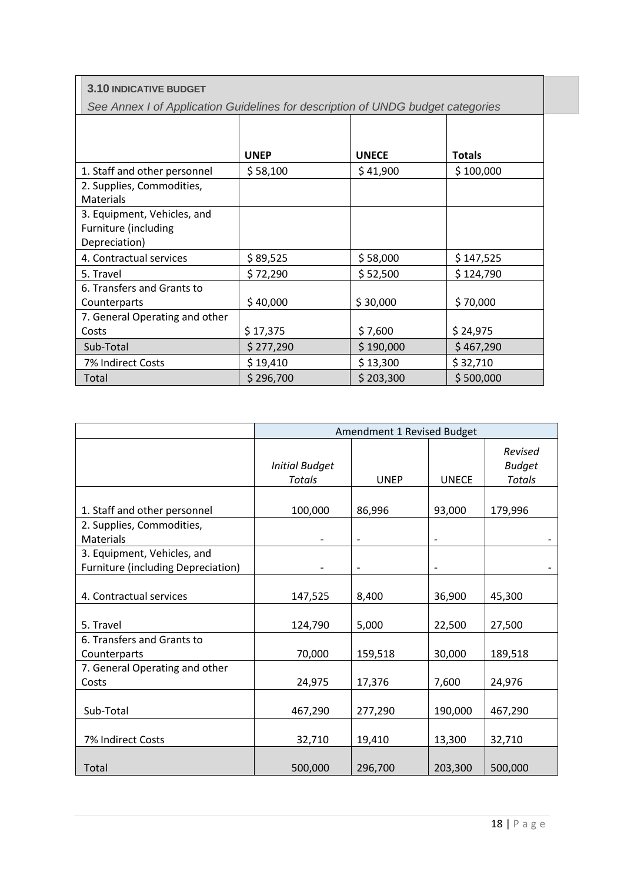| <b>3.10 INDICATIVE BUDGET</b>                                                   |             |              |               |  |  |  |  |
|---------------------------------------------------------------------------------|-------------|--------------|---------------|--|--|--|--|
| See Annex I of Application Guidelines for description of UNDG budget categories |             |              |               |  |  |  |  |
|                                                                                 |             |              |               |  |  |  |  |
|                                                                                 |             |              |               |  |  |  |  |
|                                                                                 | <b>UNEP</b> | <b>UNECE</b> | <b>Totals</b> |  |  |  |  |
| 1. Staff and other personnel                                                    | \$58,100    | \$41,900     | \$100,000     |  |  |  |  |
| 2. Supplies, Commodities,                                                       |             |              |               |  |  |  |  |
| <b>Materials</b>                                                                |             |              |               |  |  |  |  |
| 3. Equipment, Vehicles, and                                                     |             |              |               |  |  |  |  |
| Furniture (including                                                            |             |              |               |  |  |  |  |
| Depreciation)                                                                   |             |              |               |  |  |  |  |
| 4. Contractual services                                                         | \$89,525    | \$58,000     | \$147,525     |  |  |  |  |
| 5. Travel                                                                       | \$72,290    | \$52,500     | \$124,790     |  |  |  |  |
| 6. Transfers and Grants to                                                      |             |              |               |  |  |  |  |
| Counterparts                                                                    | \$40,000    | \$30,000     | \$70,000      |  |  |  |  |
| 7. General Operating and other                                                  |             |              |               |  |  |  |  |
| Costs                                                                           | \$17,375    | \$7,600      | \$24,975      |  |  |  |  |
| Sub-Total                                                                       | \$277,290   | \$190,000    | \$467,290     |  |  |  |  |
| 7% Indirect Costs                                                               | \$19,410    | \$13,300     | \$32,710      |  |  |  |  |
| Total                                                                           | \$296,700   | \$203,300    | \$500,000     |  |  |  |  |

|                                    |                                 | Amendment 1 Revised Budget |              |                                           |
|------------------------------------|---------------------------------|----------------------------|--------------|-------------------------------------------|
|                                    | <b>Initial Budget</b><br>Totals | <b>UNEP</b>                | <b>UNECE</b> | Revised<br><b>Budget</b><br><b>Totals</b> |
|                                    |                                 |                            |              |                                           |
| 1. Staff and other personnel       | 100,000                         | 86,996                     | 93,000       | 179,996                                   |
| 2. Supplies, Commodities,          |                                 |                            |              |                                           |
| Materials                          |                                 |                            |              |                                           |
| 3. Equipment, Vehicles, and        |                                 |                            |              |                                           |
| Furniture (including Depreciation) |                                 |                            |              |                                           |
| 4. Contractual services            | 147,525                         | 8,400                      | 36,900       | 45,300                                    |
| 5. Travel                          | 124,790                         | 5,000                      | 22,500       | 27,500                                    |
| 6. Transfers and Grants to         |                                 |                            |              |                                           |
| Counterparts                       | 70,000                          | 159,518                    | 30,000       | 189,518                                   |
| 7. General Operating and other     |                                 |                            |              |                                           |
| Costs                              | 24,975                          | 17,376                     | 7,600        | 24,976                                    |
|                                    |                                 |                            |              |                                           |
| Sub-Total                          | 467,290                         | 277,290                    | 190,000      | 467,290                                   |
|                                    |                                 |                            |              |                                           |
| 7% Indirect Costs                  | 32,710                          | 19,410                     | 13,300       | 32,710                                    |
| Total                              | 500,000                         | 296,700                    | 203,300      | 500,000                                   |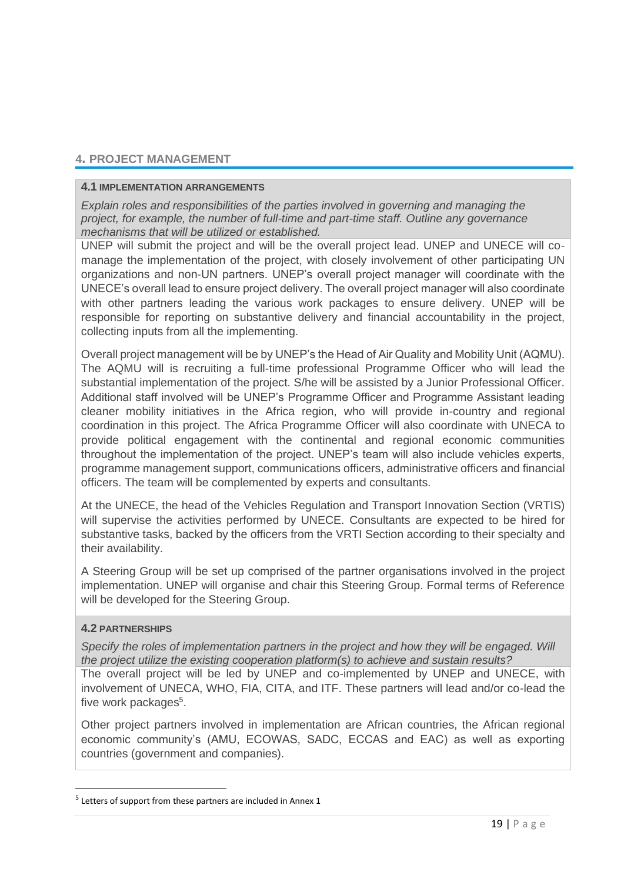# **4. PROJECT MANAGEMENT**

#### **4.1 IMPLEMENTATION ARRANGEMENTS**

*Explain roles and responsibilities of the parties involved in governing and managing the project, for example, the number of full-time and part-time staff. Outline any governance mechanisms that will be utilized or established.*

UNEP will submit the project and will be the overall project lead. UNEP and UNECE will comanage the implementation of the project, with closely involvement of other participating UN organizations and non-UN partners. UNEP's overall project manager will coordinate with the UNECE's overall lead to ensure project delivery. The overall project manager will also coordinate with other partners leading the various work packages to ensure delivery. UNEP will be responsible for reporting on substantive delivery and financial accountability in the project, collecting inputs from all the implementing.

Overall project management will be by UNEP's the Head of Air Quality and Mobility Unit (AQMU). The AQMU will is recruiting a full-time professional Programme Officer who will lead the substantial implementation of the project. S/he will be assisted by a Junior Professional Officer. Additional staff involved will be UNEP's Programme Officer and Programme Assistant leading cleaner mobility initiatives in the Africa region, who will provide in-country and regional coordination in this project. The Africa Programme Officer will also coordinate with UNECA to provide political engagement with the continental and regional economic communities throughout the implementation of the project. UNEP's team will also include vehicles experts, programme management support, communications officers, administrative officers and financial officers. The team will be complemented by experts and consultants.

At the UNECE, the head of the Vehicles Regulation and Transport Innovation Section (VRTIS) will supervise the activities performed by UNECE. Consultants are expected to be hired for substantive tasks, backed by the officers from the VRTI Section according to their specialty and their availability.

A Steering Group will be set up comprised of the partner organisations involved in the project implementation. UNEP will organise and chair this Steering Group. Formal terms of Reference will be developed for the Steering Group.

#### **4.2 PARTNERSHIPS**

*Specify the roles of implementation partners in the project and how they will be engaged. Will the project utilize the existing cooperation platform(s) to achieve and sustain results?*

The overall project will be led by UNEP and co-implemented by UNEP and UNECE, with involvement of UNECA, WHO, FIA, CITA, and ITF. These partners will lead and/or co-lead the five work packages<sup>5</sup>.

Other project partners involved in implementation are African countries, the African regional economic community's (AMU, ECOWAS, SADC, ECCAS and EAC) as well as exporting countries (government and companies).

<sup>&</sup>lt;sup>5</sup> Letters of support from these partners are included in Annex 1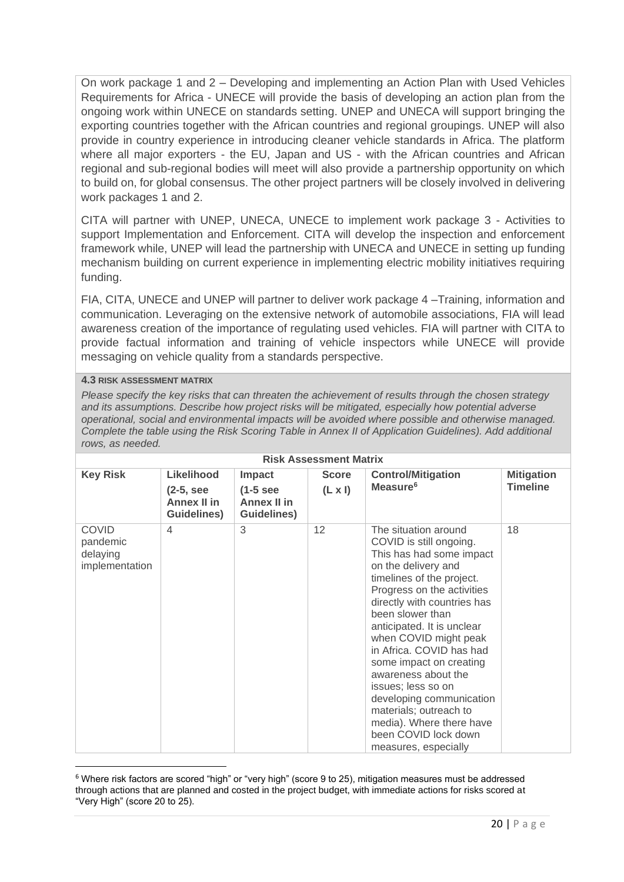On work package 1 and 2 – Developing and implementing an Action Plan with Used Vehicles Requirements for Africa - UNECE will provide the basis of developing an action plan from the ongoing work within UNECE on standards setting. UNEP and UNECA will support bringing the exporting countries together with the African countries and regional groupings. UNEP will also provide in country experience in introducing cleaner vehicle standards in Africa. The platform where all major exporters - the EU, Japan and US - with the African countries and African regional and sub-regional bodies will meet will also provide a partnership opportunity on which to build on, for global consensus. The other project partners will be closely involved in delivering work packages 1 and 2.

CITA will partner with UNEP, UNECA, UNECE to implement work package 3 - Activities to support Implementation and Enforcement. CITA will develop the inspection and enforcement framework while, UNEP will lead the partnership with UNECA and UNECE in setting up funding mechanism building on current experience in implementing electric mobility initiatives requiring funding.

FIA, CITA, UNECE and UNEP will partner to deliver work package 4 –Training, information and communication. Leveraging on the extensive network of automobile associations, FIA will lead awareness creation of the importance of regulating used vehicles. FIA will partner with CITA to provide factual information and training of vehicle inspectors while UNECE will provide messaging on vehicle quality from a standards perspective.

#### **4.3 RISK ASSESSMENT MATRIX**

*Please specify the key risks that can threaten the achievement of results through the chosen strategy and its assumptions. Describe how project risks will be mitigated, especially how potential adverse operational, social and environmental impacts will be avoided where possible and otherwise managed. Complete the table using the Risk Scoring Table in Annex II of Application Guidelines). Add additional rows, as needed.*

| <b>Risk Assessment Matrix</b>                          |                                                                              |                                                            |                                |                                                                                                                                                                                                                                                                                                                                                                                                                                                                                                               |                                      |  |  |
|--------------------------------------------------------|------------------------------------------------------------------------------|------------------------------------------------------------|--------------------------------|---------------------------------------------------------------------------------------------------------------------------------------------------------------------------------------------------------------------------------------------------------------------------------------------------------------------------------------------------------------------------------------------------------------------------------------------------------------------------------------------------------------|--------------------------------------|--|--|
| <b>Key Risk</b>                                        | <b>Likelihood</b><br>$(2-5,$ see<br><b>Annex II in</b><br><b>Guidelines)</b> | <b>Impact</b><br>$(1-5)$ see<br>Annex II in<br>Guidelines) | <b>Score</b><br>$(L \times I)$ | <b>Control/Mitigation</b><br>Measure <sup>6</sup>                                                                                                                                                                                                                                                                                                                                                                                                                                                             | <b>Mitigation</b><br><b>Timeline</b> |  |  |
| <b>COVID</b><br>pandemic<br>delaying<br>implementation | 4                                                                            | 3                                                          | 12                             | The situation around<br>COVID is still ongoing.<br>This has had some impact<br>on the delivery and<br>timelines of the project.<br>Progress on the activities<br>directly with countries has<br>been slower than<br>anticipated. It is unclear<br>when COVID might peak<br>in Africa. COVID has had<br>some impact on creating<br>awareness about the<br>issues; less so on<br>developing communication<br>materials; outreach to<br>media). Where there have<br>been COVID lock down<br>measures, especially | 18                                   |  |  |

<sup>6</sup> Where risk factors are scored "high" or "very high" (score 9 to 25), mitigation measures must be addressed through actions that are planned and costed in the project budget, with immediate actions for risks scored at "Very High" (score 20 to 25).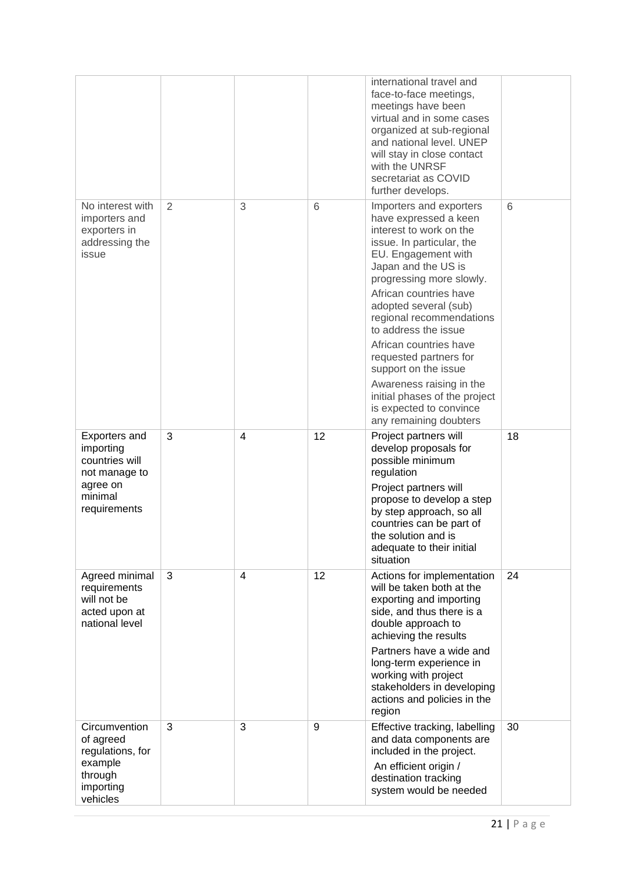|                                                                                                      |                |   |    | international travel and<br>face-to-face meetings,<br>meetings have been<br>virtual and in some cases<br>organized at sub-regional<br>and national level. UNEP<br>will stay in close contact<br>with the UNRSF<br>secretariat as COVID<br>further develops.                                                                                                                                                                                                                             |    |
|------------------------------------------------------------------------------------------------------|----------------|---|----|-----------------------------------------------------------------------------------------------------------------------------------------------------------------------------------------------------------------------------------------------------------------------------------------------------------------------------------------------------------------------------------------------------------------------------------------------------------------------------------------|----|
| No interest with<br>importers and<br>exporters in<br>addressing the<br>issue                         | $\overline{2}$ | 3 | 6  | Importers and exporters<br>have expressed a keen<br>interest to work on the<br>issue. In particular, the<br>EU. Engagement with<br>Japan and the US is<br>progressing more slowly.<br>African countries have<br>adopted several (sub)<br>regional recommendations<br>to address the issue<br>African countries have<br>requested partners for<br>support on the issue<br>Awareness raising in the<br>initial phases of the project<br>is expected to convince<br>any remaining doubters | 6  |
| Exporters and<br>importing<br>countries will<br>not manage to<br>agree on<br>minimal<br>requirements | 3              | 4 | 12 | Project partners will<br>develop proposals for<br>possible minimum<br>regulation<br>Project partners will<br>propose to develop a step<br>by step approach, so all<br>countries can be part of<br>the solution and is<br>adequate to their initial<br>situation                                                                                                                                                                                                                         | 18 |
| Agreed minimal<br>requirements<br>will not be<br>acted upon at<br>national level                     | 3              | 4 | 12 | Actions for implementation<br>will be taken both at the<br>exporting and importing<br>side, and thus there is a<br>double approach to<br>achieving the results<br>Partners have a wide and<br>long-term experience in<br>working with project<br>stakeholders in developing<br>actions and policies in the<br>region                                                                                                                                                                    | 24 |
| Circumvention<br>of agreed<br>regulations, for<br>example<br>through<br>importing<br>vehicles        | 3              | 3 | 9  | Effective tracking, labelling<br>and data components are<br>included in the project.<br>An efficient origin /<br>destination tracking<br>system would be needed                                                                                                                                                                                                                                                                                                                         | 30 |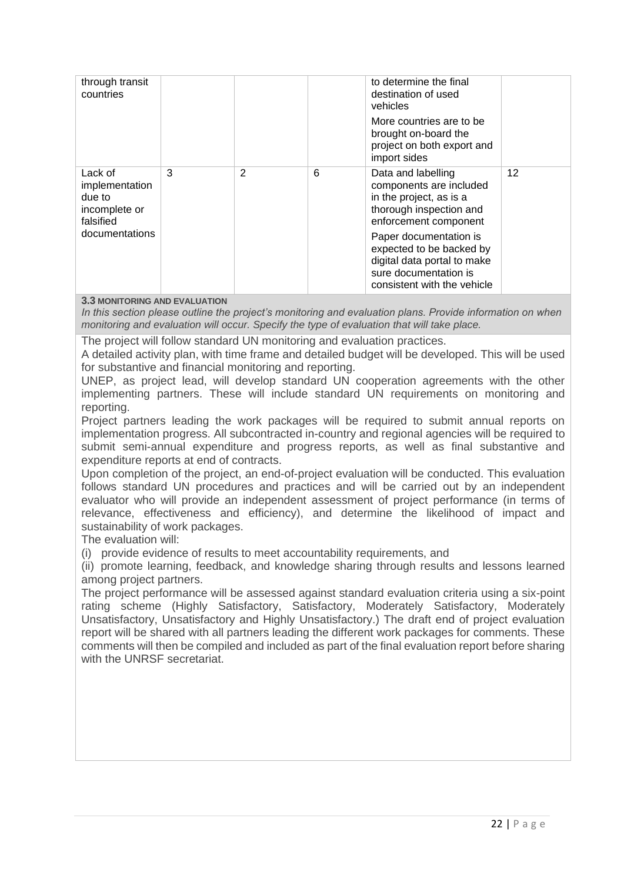| through transit<br>countries                                                        |   |   |   | to determine the final<br>destination of used<br>vehicles<br>More countries are to be<br>brought on-board the<br>project on both export and<br>import sides |    |
|-------------------------------------------------------------------------------------|---|---|---|-------------------------------------------------------------------------------------------------------------------------------------------------------------|----|
| Lack of<br>implementation<br>due to<br>incomplete or<br>falsified<br>documentations | 3 | 2 | 6 | Data and labelling<br>components are included<br>in the project, as is a<br>thorough inspection and<br>enforcement component                                | 12 |
|                                                                                     |   |   |   | Paper documentation is<br>expected to be backed by<br>digital data portal to make<br>sure documentation is<br>consistent with the vehicle                   |    |

#### **3.3 MONITORING AND EVALUATION**

*In this section please outline the project's monitoring and evaluation plans. Provide information on when monitoring and evaluation will occur. Specify the type of evaluation that will take place.*

The project will follow standard UN monitoring and evaluation practices.

A detailed activity plan, with time frame and detailed budget will be developed. This will be used for substantive and financial monitoring and reporting.

UNEP, as project lead, will develop standard UN cooperation agreements with the other implementing partners. These will include standard UN requirements on monitoring and reporting.

Project partners leading the work packages will be required to submit annual reports on implementation progress. All subcontracted in-country and regional agencies will be required to submit semi-annual expenditure and progress reports, as well as final substantive and expenditure reports at end of contracts.

Upon completion of the project, an end-of-project evaluation will be conducted. This evaluation follows standard UN procedures and practices and will be carried out by an independent evaluator who will provide an independent assessment of project performance (in terms of relevance, effectiveness and efficiency), and determine the likelihood of impact and sustainability of work packages.

The evaluation will:

(i) provide evidence of results to meet accountability requirements, and

(ii) promote learning, feedback, and knowledge sharing through results and lessons learned among project partners.

The project performance will be assessed against standard evaluation criteria using a six-point rating scheme (Highly Satisfactory, Satisfactory, Moderately Satisfactory, Moderately Unsatisfactory, Unsatisfactory and Highly Unsatisfactory.) The draft end of project evaluation report will be shared with all partners leading the different work packages for comments. These comments will then be compiled and included as part of the final evaluation report before sharing with the UNRSF secretariat.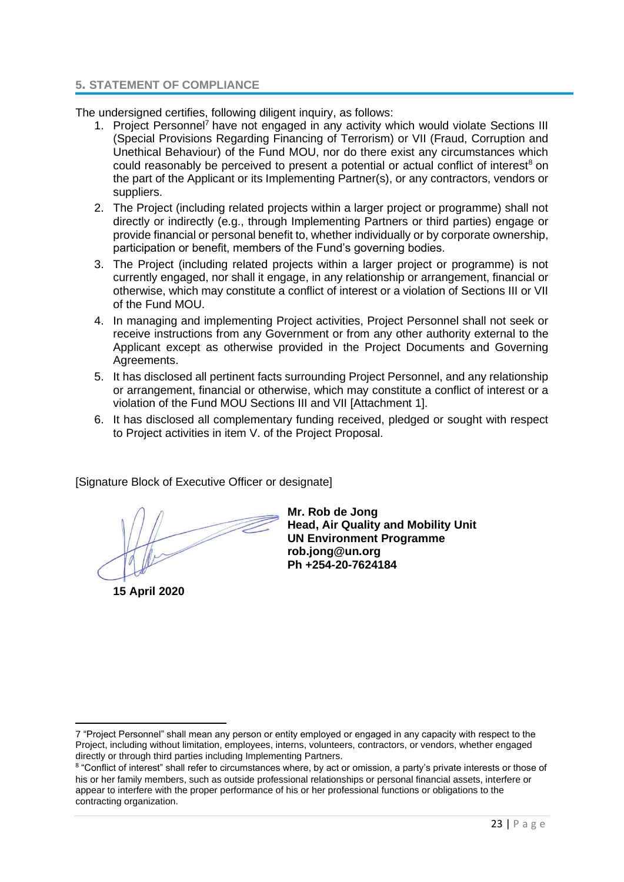#### **5. STATEMENT OF COMPLIANCE**

The undersigned certifies, following diligent inquiry, as follows:

- 1. Project Personnel<sup>7</sup> have not engaged in any activity which would violate Sections III (Special Provisions Regarding Financing of Terrorism) or VII (Fraud, Corruption and Unethical Behaviour) of the Fund MOU, nor do there exist any circumstances which could reasonably be perceived to present a potential or actual conflict of interest<sup>8</sup> on the part of the Applicant or its Implementing Partner(s), or any contractors, vendors or suppliers.
- 2. The Project (including related projects within a larger project or programme) shall not directly or indirectly (e.g., through Implementing Partners or third parties) engage or provide financial or personal benefit to, whether individually or by corporate ownership, participation or benefit, members of the Fund's governing bodies.
- 3. The Project (including related projects within a larger project or programme) is not currently engaged, nor shall it engage, in any relationship or arrangement, financial or otherwise, which may constitute a conflict of interest or a violation of Sections III or VII of the Fund MOU.
- 4. In managing and implementing Project activities, Project Personnel shall not seek or receive instructions from any Government or from any other authority external to the Applicant except as otherwise provided in the Project Documents and Governing Agreements.
- 5. It has disclosed all pertinent facts surrounding Project Personnel, and any relationship or arrangement, financial or otherwise, which may constitute a conflict of interest or a violation of the Fund MOU Sections III and VII [Attachment 1].
- 6. It has disclosed all complementary funding received, pledged or sought with respect to Project activities in item V. of the Project Proposal.

[Signature Block of Executive Officer or designate]

**15 April 2020**

**Mr. Rob de Jong Head, Air Quality and Mobility Unit UN Environment Programme rob.jong@un.org Ph +254-20-7624184**

<sup>7</sup> "Project Personnel" shall mean any person or entity employed or engaged in any capacity with respect to the Project, including without limitation, employees, interns, volunteers, contractors, or vendors, whether engaged directly or through third parties including Implementing Partners.

<sup>&</sup>lt;sup>8</sup> "Conflict of interest" shall refer to circumstances where, by act or omission, a party's private interests or those of his or her family members, such as outside professional relationships or personal financial assets, interfere or appear to interfere with the proper performance of his or her professional functions or obligations to the contracting organization.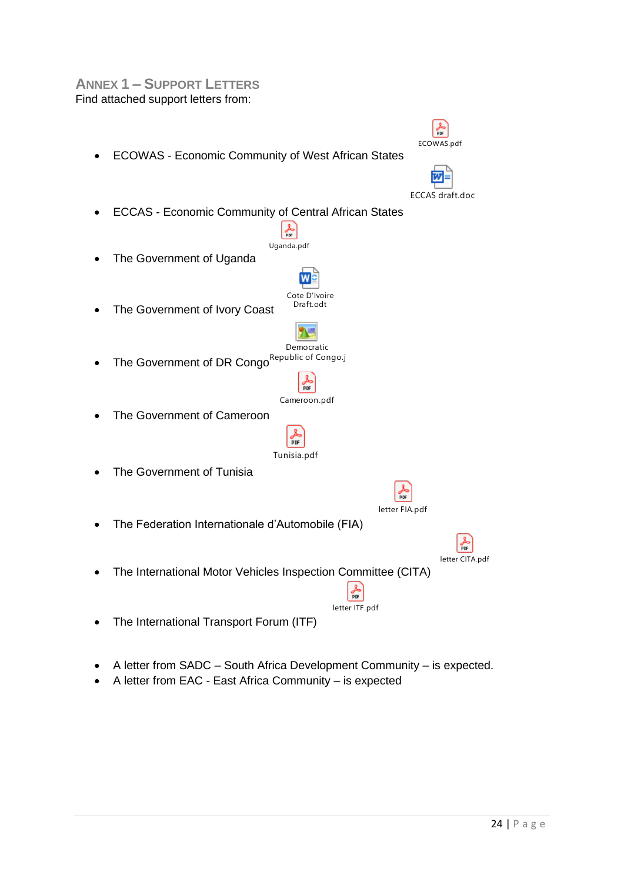# **ANNEX 1 – SUPPORT LETTERS** Find attached support letters from:



- A letter from SADC South Africa Development Community is expected.
- A letter from EAC East Africa Community is expected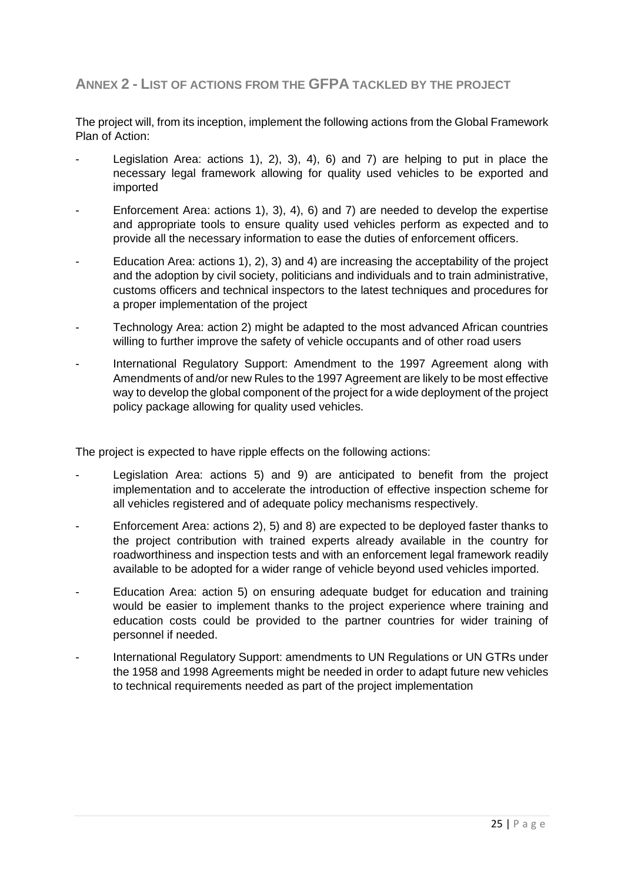# **ANNEX 2 - LIST OF ACTIONS FROM THE GFPA TACKLED BY THE PROJECT**

The project will, from its inception, implement the following actions from the Global Framework Plan of Action:

- Legislation Area: actions 1), 2), 3), 4), 6) and 7) are helping to put in place the necessary legal framework allowing for quality used vehicles to be exported and imported
- Enforcement Area: actions 1), 3), 4), 6) and 7) are needed to develop the expertise and appropriate tools to ensure quality used vehicles perform as expected and to provide all the necessary information to ease the duties of enforcement officers.
- Education Area: actions 1), 2), 3) and 4) are increasing the acceptability of the project and the adoption by civil society, politicians and individuals and to train administrative, customs officers and technical inspectors to the latest techniques and procedures for a proper implementation of the project
- Technology Area: action 2) might be adapted to the most advanced African countries willing to further improve the safety of vehicle occupants and of other road users
- International Regulatory Support: Amendment to the 1997 Agreement along with Amendments of and/or new Rules to the 1997 Agreement are likely to be most effective way to develop the global component of the project for a wide deployment of the project policy package allowing for quality used vehicles.

The project is expected to have ripple effects on the following actions:

- Legislation Area: actions 5) and 9) are anticipated to benefit from the project implementation and to accelerate the introduction of effective inspection scheme for all vehicles registered and of adequate policy mechanisms respectively.
- Enforcement Area: actions 2), 5) and 8) are expected to be deployed faster thanks to the project contribution with trained experts already available in the country for roadworthiness and inspection tests and with an enforcement legal framework readily available to be adopted for a wider range of vehicle beyond used vehicles imported.
- Education Area: action 5) on ensuring adequate budget for education and training would be easier to implement thanks to the project experience where training and education costs could be provided to the partner countries for wider training of personnel if needed.
- International Regulatory Support: amendments to UN Regulations or UN GTRs under the 1958 and 1998 Agreements might be needed in order to adapt future new vehicles to technical requirements needed as part of the project implementation